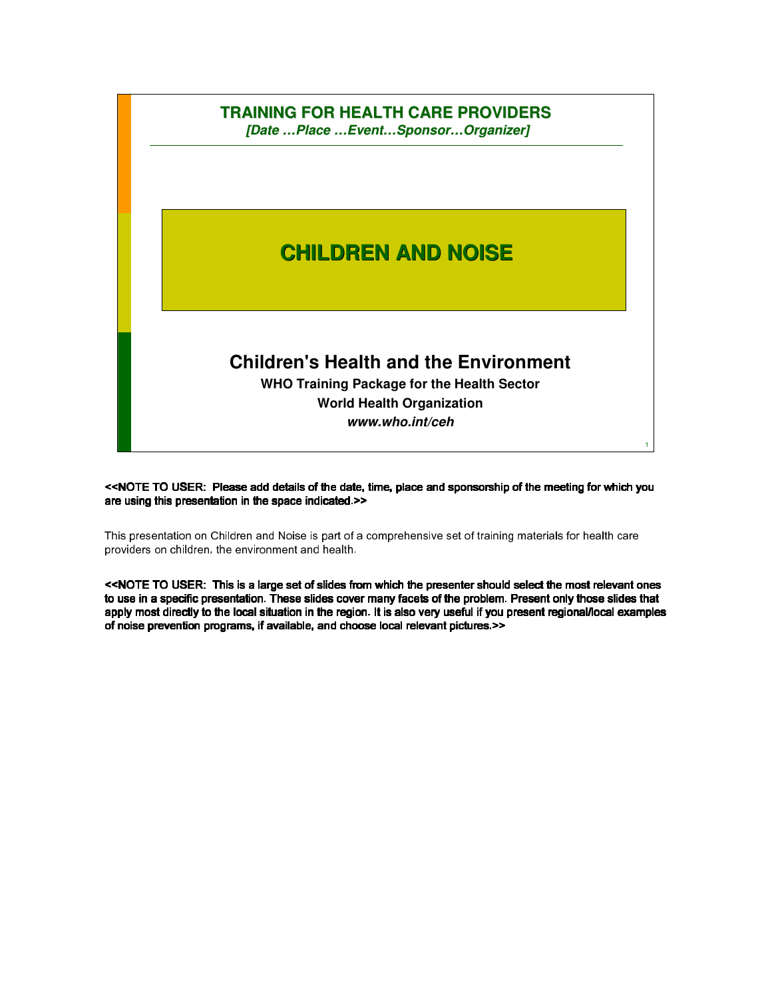

<<NOTE TO USER: Please add details of the date, time, place and sponsorship of the meeting for which you are using this presentation in the space indicated.>>

This presentation on Children and Noise is part of a comprehensive set of training materials for health care providers on children, the environment and health.

<<NOTE TO USER: This is a large set of slides from which the presenter should select the most relevant ones presenter should select the most to use in a specific presentation. These slides cover many facets of the problem. Present only those slides that apply most directly to the local situation in the region. It is also very useful if you present regional/local examples of noise prevention programs, if available, and choose local relevant pictures.>>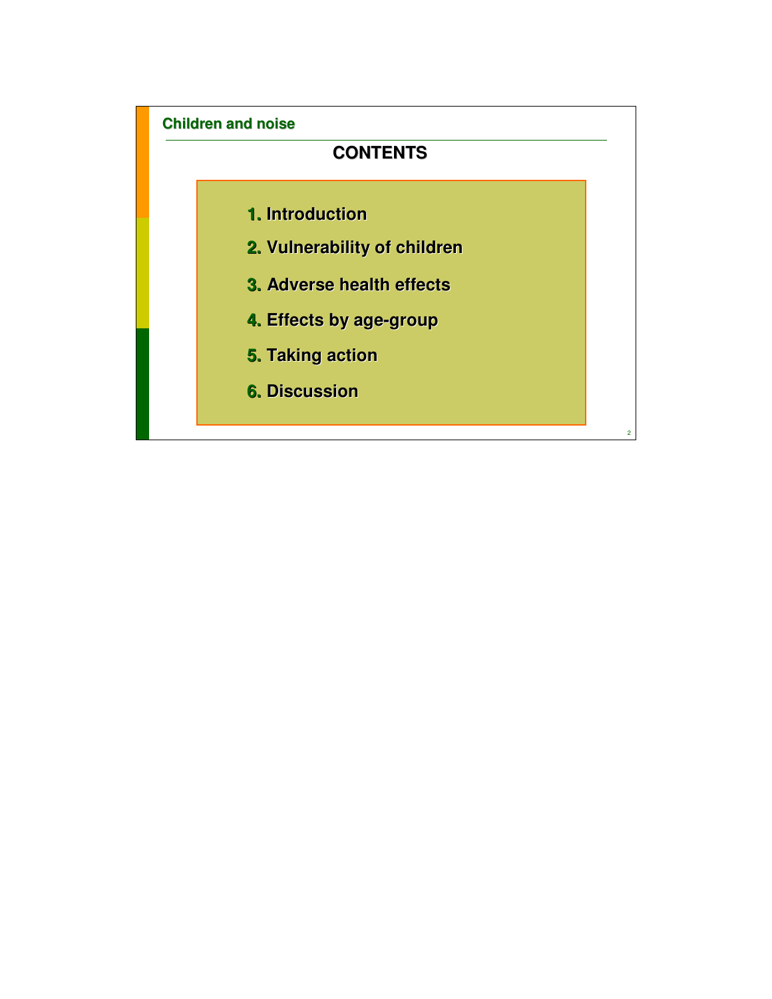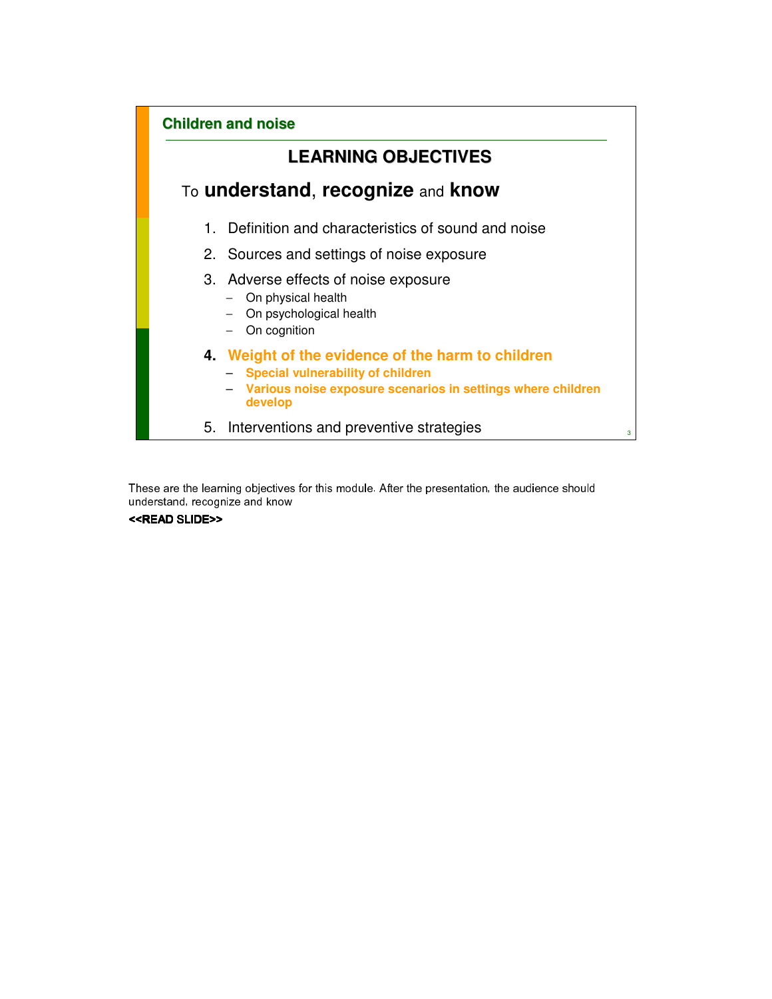

These are the learning objectives for this module. After the presentation, the audience should understand, recognize and know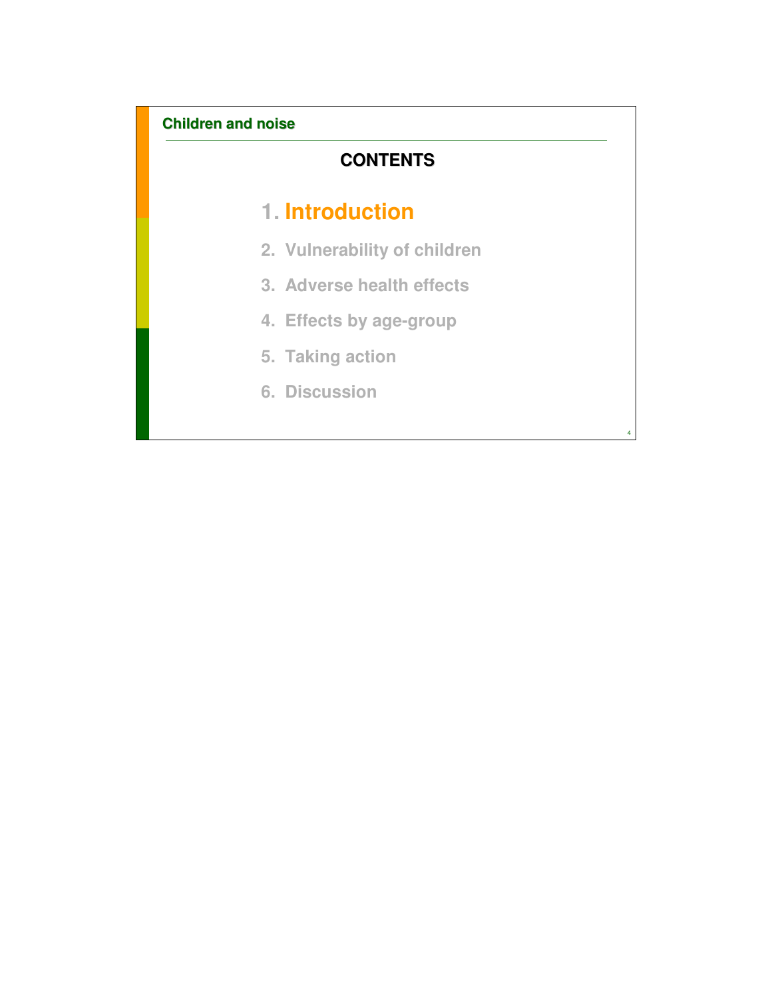# **CONTENTS**

# **1. Introduction**

- **2. Vulnerability of children**
- **3. Adverse health effects**
- **4. Effects by age-group**

4

- **5. Taking action**
- **6. Discussion**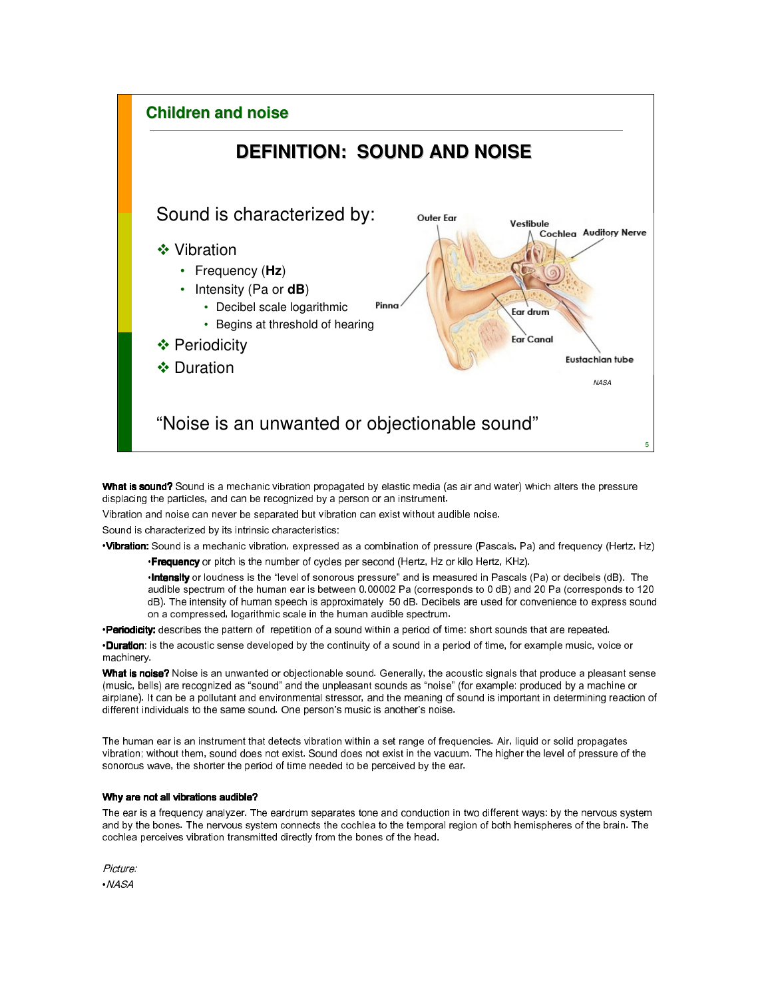

What is sound? Sound is a mechanic vibration propagated by elastic media (as air and water) which alters the pressure displacing the particles, and can be recognized by a person or an instrument.

Vibration and noise can never be separated but vibration can exist without audible noise.

Sound is characterized by its intrinsic characteristics:

•Vibration: Sound is a mechanic vibration, expressed as a combination of pressure (Pascals, Pa) and frequency (Hertz, Hz)

•Frequency or pitch is the number of cycles per second (Hertz, Hz or kilo Hertz, KHz).

•Intensity or loudness is the "level of sonorous pressure" and is measured in Pascals (Pa) or decibels (dB). The audible spectrum of the human ear is between 0.00002 Pa (corresponds to 0 dB) and 20 Pa (corresponds to 120 dB). The intensity of human speech is approximately 50 dB. Decibels are used for convenience to express sound on a compressed, logarithmic scale in the human audible spectrum.

•Periodicity: describes the pattern of repetition of a sound within a period of time: short sounds that are repeated.

•Duration: is the acoustic sense developed by the continuity of a sound in a period of time, for example music, voice or machinery.

What is noise? Noise is an unwanted or objectionable sound. Generally, the acoustic signals that produce a pleasant sense (music, bells) are recognized as "sound" and the unpleasant sounds as "noise" (for example: produced by a machine or airplane). It can be a pollutant and environmental stressor, and the meaning of sound is important in determining reaction of different individuals to the same sound. One person's music is another's noise.

The human ear is an instrument that detects vibration within a set range of frequencies. Air, liquid or solid propagates vibration; without them, sound does not exist. Sound does not exist in the vacuum. The higher the level of pressure of the sonorous wave, the shorter the period of time needed to be perceived by the ear.

#### Why are not all vibrations audible?

The ear is a frequency analyzer. The eardrum separates tone and conduction in two different ways: by the nervous system and by the bones. The nervous system connects the cochlea to the temporal region of both hemispheres of the brain. The cochlea perceives vibration transmitted directly from the bones of the head.

Picture: •NASA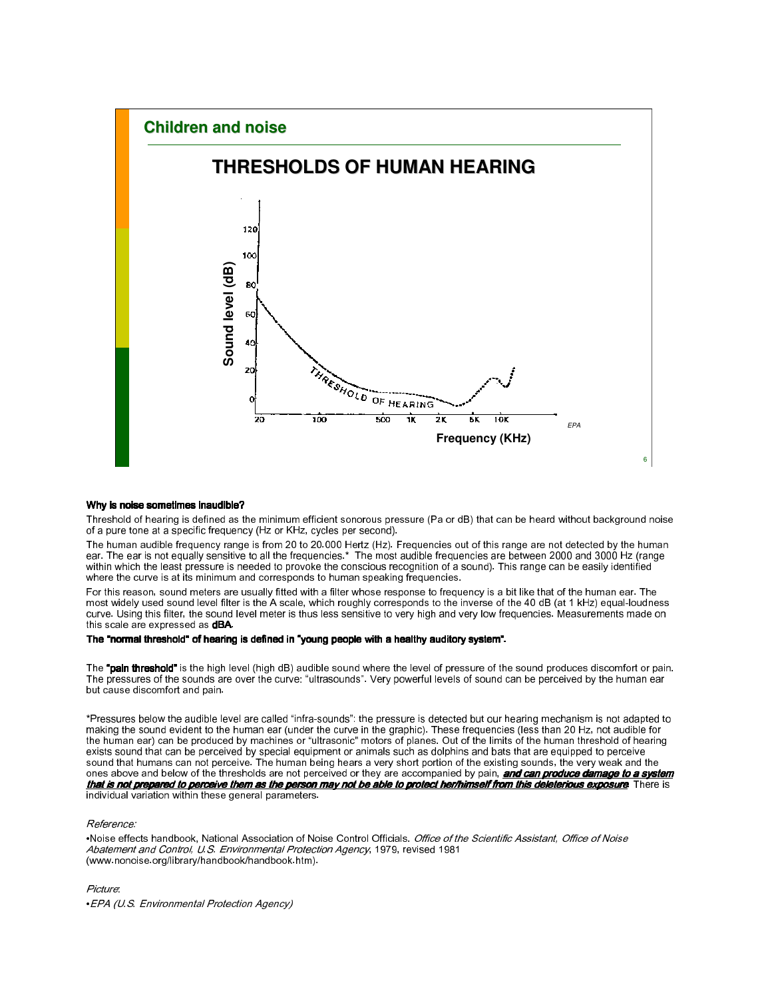

#### Why is noise sometimes inaudible?

Threshold of hearing is defined as the minimum efficient sonorous pressure (Pa or dB) that can be heard without background noise of a pure tone at a specific frequency (Hz or KHz, cycles per second).

The human audible frequency range is from 20 to 20.000 Hertz (Hz). Frequencies out of this range are not detected by the human ear. The ear is not equally sensitive to all the frequencies.\* The most audible frequencies are between 2000 and 3000 Hz (range within which the least pressure is needed to provoke the conscious recognition of a sound). This range can be easily identified where the curve is at its minimum and corresponds to human speaking frequencies.

For this reason, sound meters are usually fitted with a filter whose response to frequency is a bit like that of the human ear. The most widely used sound level filter is the A scale, which roughly corresponds to the inverse of the 40 dB (at 1 kHz) equal-loudness curve. Using this filter, the sound level meter is thus less sensitive to very high and very low frequencies. Measurements made on this scale are expressed as **dBA**.

#### The "normal threshold" of hearing is defined in "young people with a healthy auditory system".

The "pain threshold" is the high level (high dB) audible sound where the level of pressure of the sound produces discomfort or pain. The pressures of the sounds are over the curve: "ultrasounds". Very powerful levels of sound can be perceived by the human ear but cause discomfort and pain.

\*Pressures below the audible level are called "infra-sounds": the pressure is detected but our hearing mechanism is not adapted to making the sound evident to the human ear (under the curve in the graphic). These frequencies (less than 20 Hz, not audible for the human ear) can be produced by machines or "ultrasonic" motors of planes. Out of the limits of the human threshold of hearing exists sound that can be perceived by special equipment or animals such as dolphins and bats that are equipped to perceive sound that humans can not perceive. The human being hears a very short portion of the existing sounds, the very weak and the ones above and below of the thresholds are not perceived or they are accompanied by pain, **and can produce damage to a system** that is not prepared to perceive them as the person may not be able to protect her/himself from this deleterious exposure. There is individual variation within these general parameters.

#### Reference:

•Noise effects handbook, National Association of Noise Control Officials. Office of the Scientific Assistant, Office of Noise Abatement and Control, U.S. Environmental Protection Agency, 1979, revised 1981 (www.nonoise.org/library/handbook/handbook.htm).

Picture:

•EPA (U.S. Environmental Protection Agency)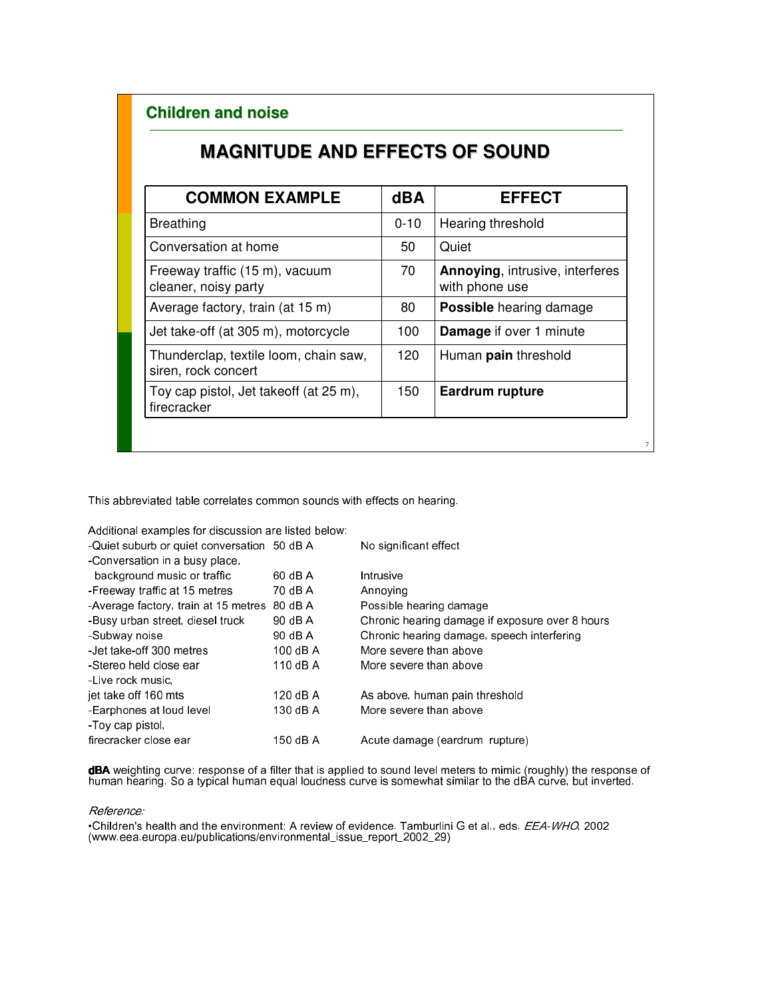# **MAGNITUDE AND EFFECTS OF SOUND**

| <b>COMMON EXAMPLE</b>                                        | <b>dBA</b> | <b>EFFECT</b>                                            |
|--------------------------------------------------------------|------------|----------------------------------------------------------|
| <b>Breathing</b>                                             | $0 - 10$   | Hearing threshold                                        |
| Conversation at home                                         | 50         | Quiet                                                    |
| Freeway traffic (15 m), vacuum<br>cleaner, noisy party       | 70         | <b>Annoying, intrusive, interferes</b><br>with phone use |
| Average factory, train (at 15 m)                             | 80         | <b>Possible</b> hearing damage                           |
| Jet take-off (at 305 m), motorcycle                          | 100        | <b>Damage</b> if over 1 minute                           |
| Thunderclap, textile loom, chain saw,<br>siren, rock concert | 120        | Human pain threshold                                     |
| Toy cap pistol, Jet takeoff (at 25 m),<br>firecracker        | 150        | <b>Eardrum rupture</b>                                   |

7

This abbreviated table correlates common sounds with effects on hearing.

Additional examples for discussion are listed below:

| -Quiet suburb or quiet conversation 50 dB A |          | No significant effect                           |
|---------------------------------------------|----------|-------------------------------------------------|
| -Conversation in a busy place,              |          |                                                 |
| background music or traffic                 | 60 dB A  | Intrusive                                       |
| -Freeway traffic at 15 metres               | 70 dB A  | Annoving                                        |
| -Average factory, train at 15 metres        | 80 dB A  | Possible hearing damage                         |
| -Busy urban street, diesel truck            | 90 dB A  | Chronic hearing damage if exposure over 8 hours |
| -Subway noise                               | 90 dB A  | Chronic hearing damage, speech interfering      |
| -Jet take-off 300 metres                    | 100 dB A | More severe than above                          |
| -Stereo held close ear                      | 110 dB A | More severe than above                          |
| -Live rock music,                           |          |                                                 |
| jet take off 160 mts                        | 120 dB A | As above, human pain threshold                  |
| -Earphones at loud level                    | 130 dB A | More severe than above                          |
| Toy cap pistol,                             |          |                                                 |
| firecracker close ear                       | 150 dB A | Acute damage (eardrum rupture)                  |
|                                             |          |                                                 |

**dBA** weighting curve: response of a filter that is applied to sound level meters to mimic (roughly) the response of human hearing. So a typical human equal loudness curve is somewhat similar to the dBA curve, but inverted.

#### Reference:

•Children's health and the environment: A review of evidence. Tamburlini G et al., eds. EEA-WHO, 2002 (www.eea.europa.eu/publications/environmental\_issue\_report\_2002\_29)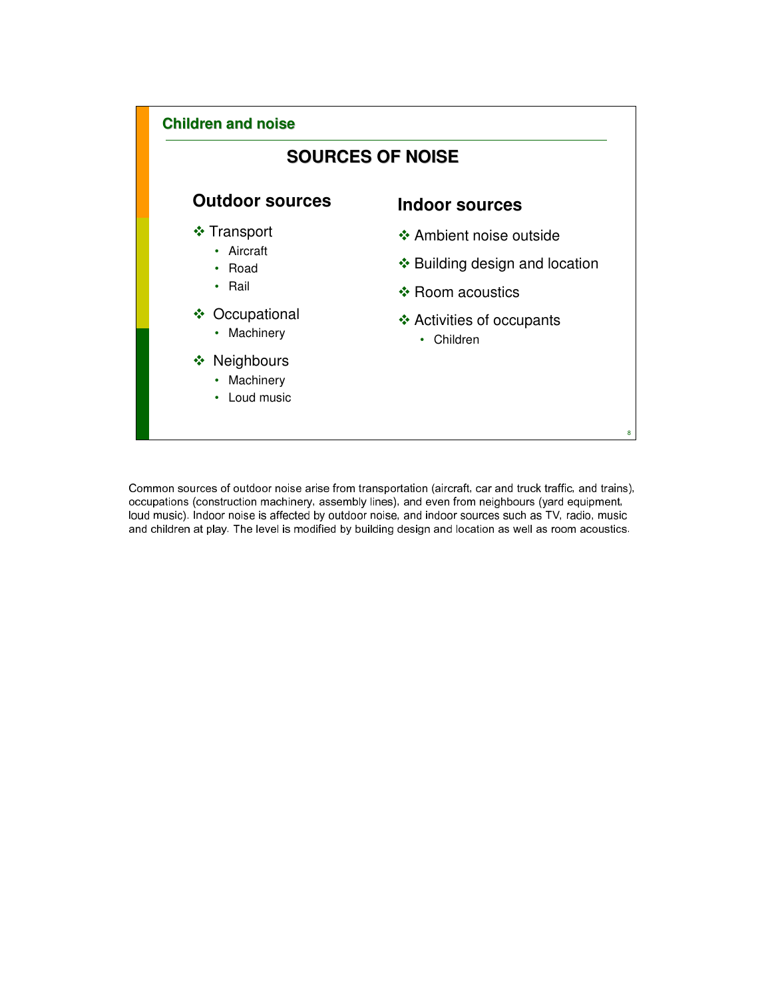

Common sources of outdoor noise arise from transportation (aircraft, car and truck traffic, and trains), occupations (construction machinery, assembly lines), and even from neighbours (yard equipment, loud music). Indoor noise is affected by outdoor noise, and indoor sources such as TV, radio, music and children at play. The level is modified by building design and location as well as room acoustics.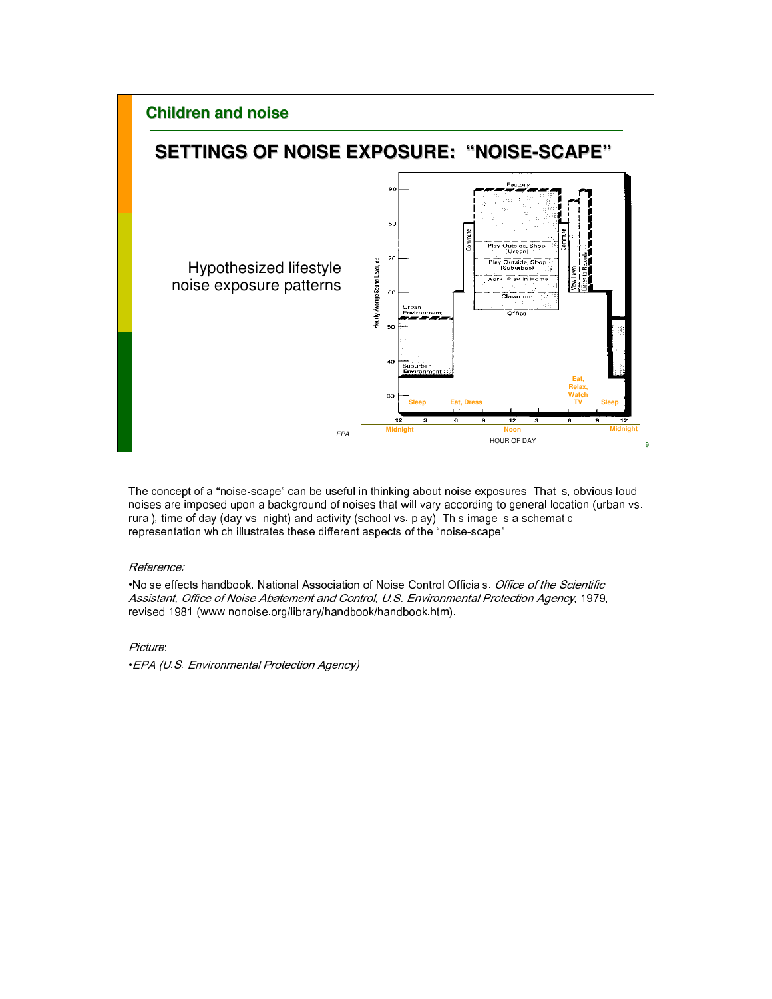

The concept of a "noise-scape" can be useful in thinking about noise exposures. That is, obvious loud noises are imposed upon a background of noises that will vary according to general location (urban vs. rural), time of day (day vs. night) and activity (school vs. play). This image is a schematic representation which illustrates these different aspects of the "noise-scape".

#### Reference:

•Noise effects handbook, National Association of Noise Control Officials. Office of the Scientific Assistant, Office of Noise Abatement and Control, U.S. Environmental Protection Agency, 1979, revised 1981 (www.nonoise.org/library/handbook/handbook.htm).

Picture:

•EPA (U.S. Environmental Protection Agency)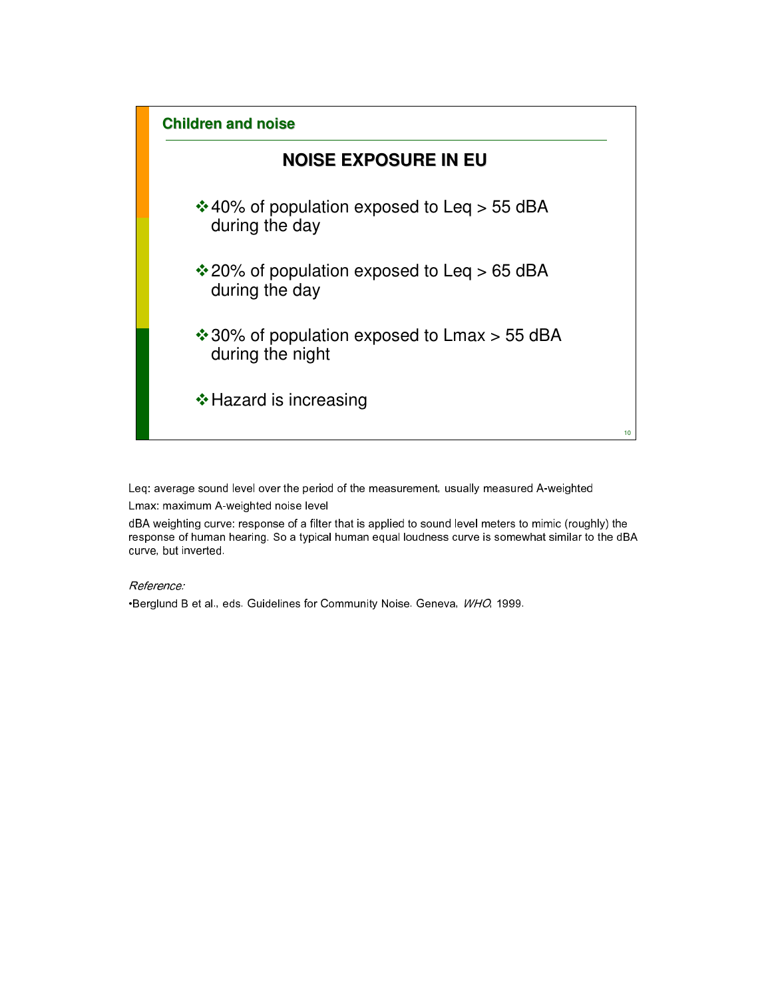

Leq: average sound level over the period of the measurement, usually measured A-weighted Lmax: maximum A-weighted noise level

dBA weighting curve: response of a filter that is applied to sound level meters to mimic (roughly) the response of human hearing. So a typical human equal loudness curve is somewhat similar to the dBA curve, but inverted.

#### Reference:

•Berglund B et al., eds. Guidelines for Community Noise. Geneva, WHO, 1999.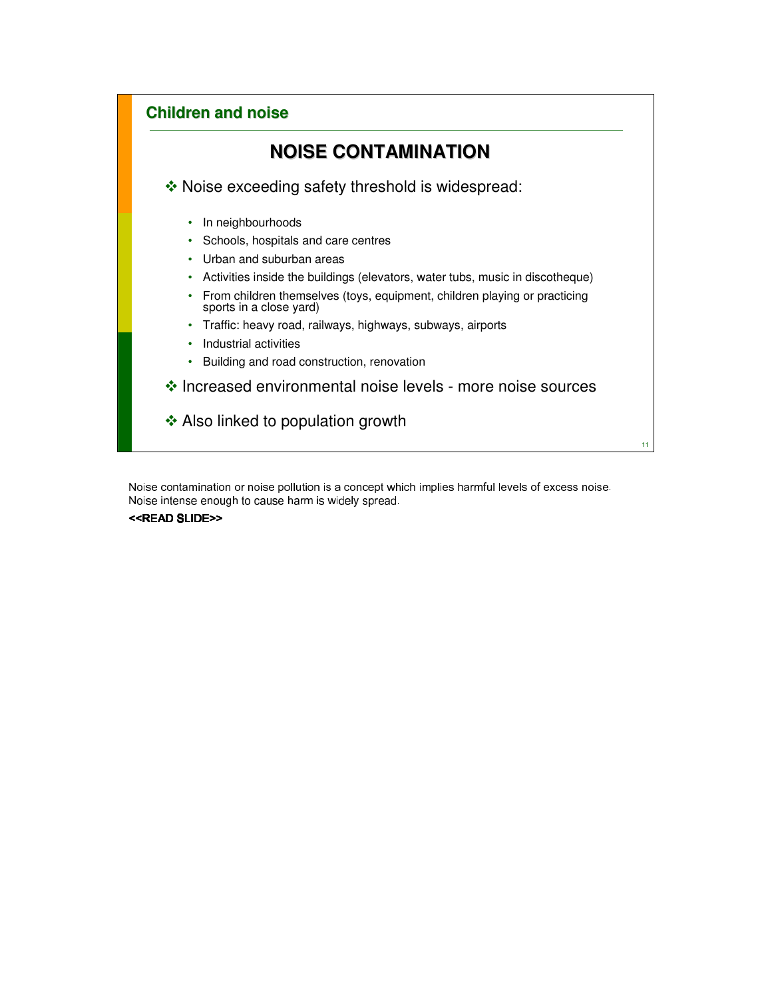

Noise contamination or noise pollution is a concept which implies harmful levels of excess noise. Noise intense enough to cause harm is widely spread.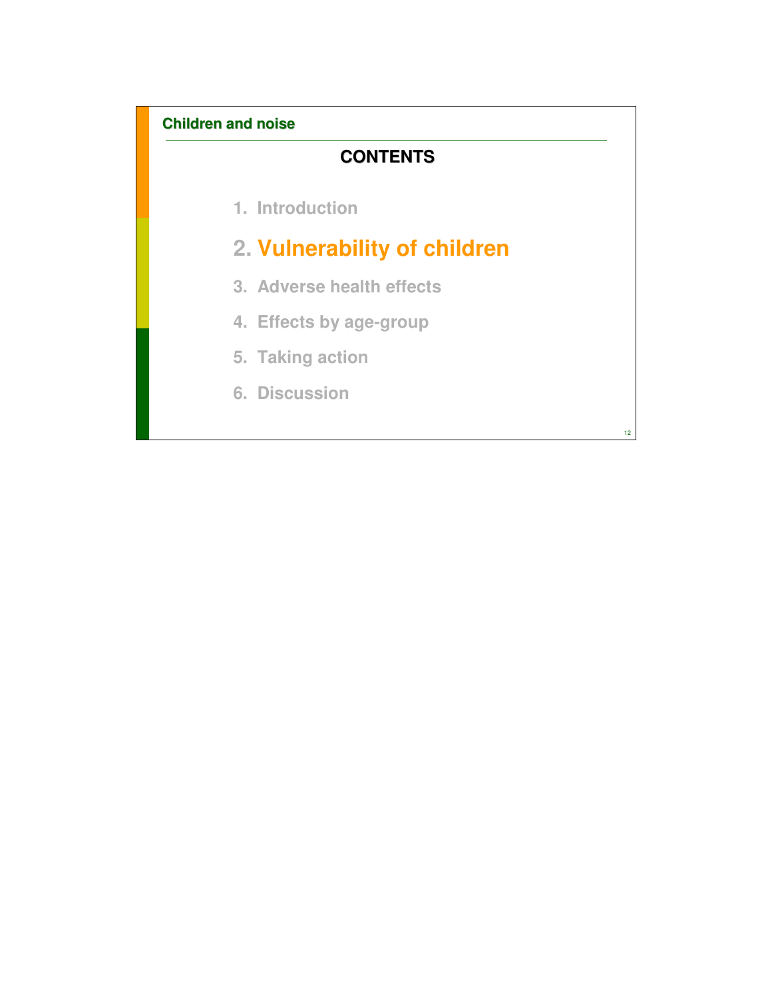# **CONTENTS**

**1. Introduction**

# **2. Vulnerability of children**

- **3. Adverse health effects**
- **4. Effects by age-group**
- **5. Taking action**
- **6. Discussion**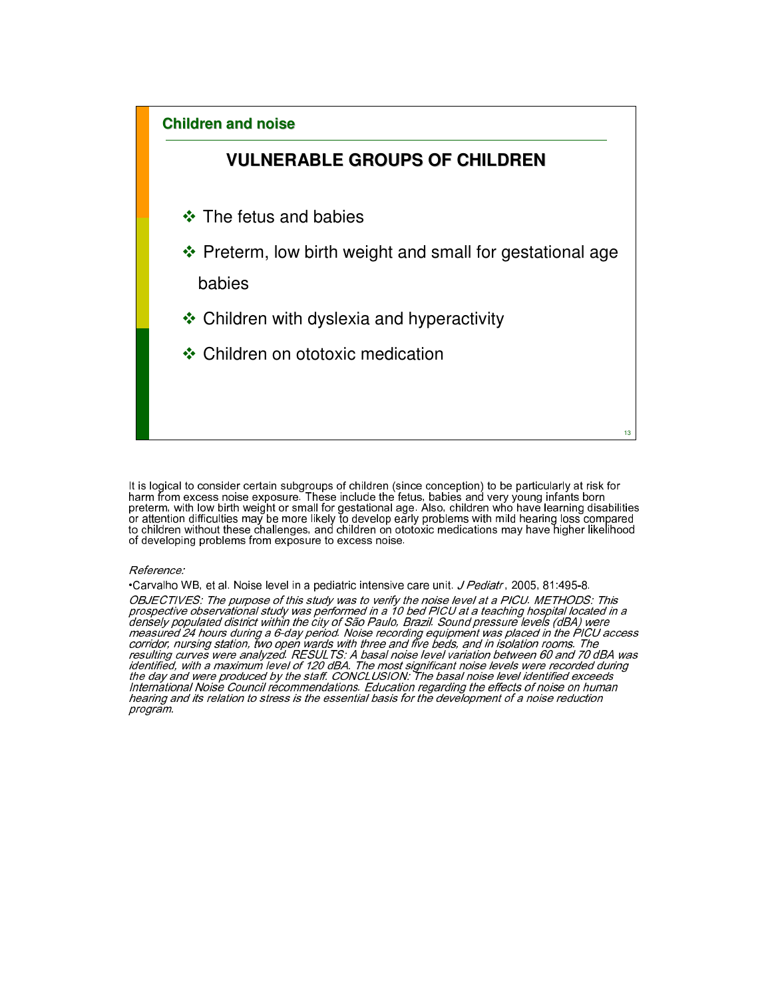# **Children and noise VULNERABLE GROUPS OF CHILDREN**  $\div$  The fetus and babies ❖ Preterm, low birth weight and small for gestational age babies  **☆ Children with dyslexia and hyperactivity ❖ Children on ototoxic medication**

13

It is logical to consider certain subgroups of children (since conception) to be particularly at risk for harm from excess noise exposure. These include the fetus, babies and very young infants born preterm, with low birth weight or small for gestational age. Also, children who have learning disabilities or attention difficulties may be more likely to develop early problems with mild hearing loss compared to children without these challenges, and children on ototoxic medications may have higher likelihood of developing problems from exposure to excess noise.

#### Reference:

•Carvalho WB, et al. Noise level in a pediatric intensive care unit. *J Pediatr* , 2005, 81:495-8.

OBJECTIVES: The purpose of this study was to verify the noise level at a PICU. METHODS: This prospective observational study was performed in a 10 bed PICU at a teaching hospital located in a densely populated district within the city of São Paulo, Brazil. Sound pressure levels (dBA) were measured 24 hours during a 6-day period. Noise recording equipment was placed in the PICU access corridor, nursing station, two open wards with three and five beds, and in isolation rooms. The resulting curves were analyzed. RESULTS: A basal noise level variation between 60 and 70 dBA was identified, with a maximum level of 120 dBA. The most significant noise levels were recorded during the day and were produced by the staff. CONCLUSION: The basal noise level identified exceeds International Noise Council recommendations. Education regarding the effects of noise on human hearing and its relation to stress is the essential basis for the development of a noise reduction hearing and its relation to stress is the essential basis for the development of a noise reduction<br>program.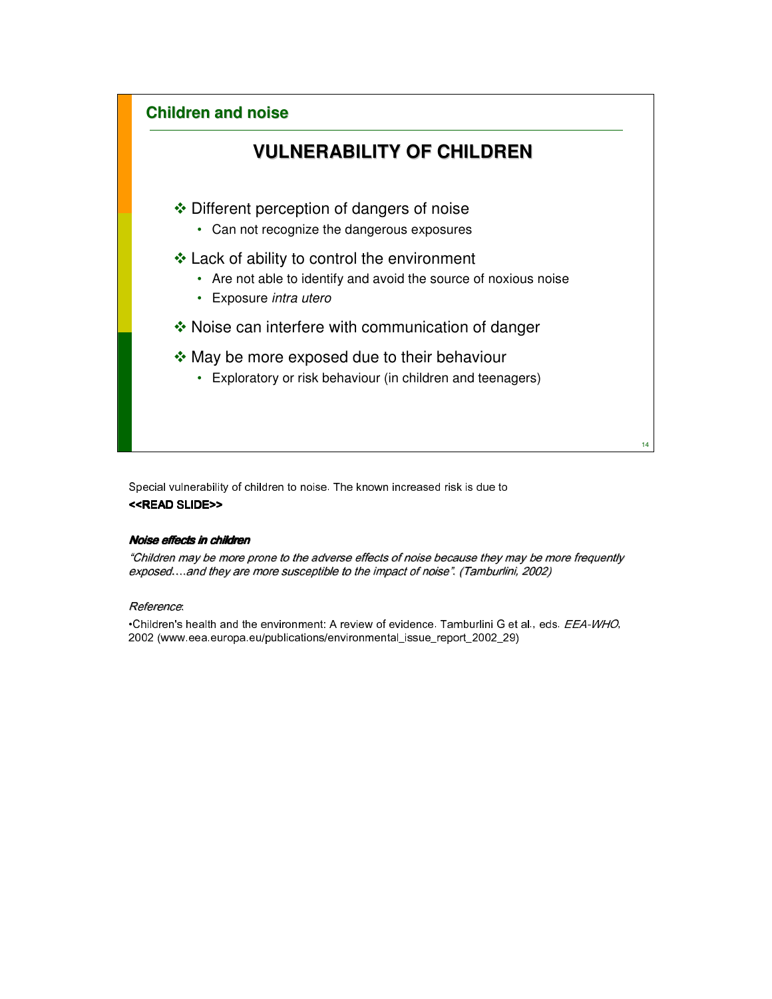

Special vulnerability of children to noise. The known increased risk is due to <<READ SLIDE>>

#### Noise effects in children

"Children may be more prone to the adverse effects of noise because they may be more frequently exposed….and they are more susceptible to the impact of noise". (Tamburlini, 2002)

#### Reference:

•Children's health and the environment: A review of evidence. Tamburlini G et al., eds. EEA-WHO, 2002 (www.eea.europa.eu/publications/environmental\_issue\_report\_2002\_29)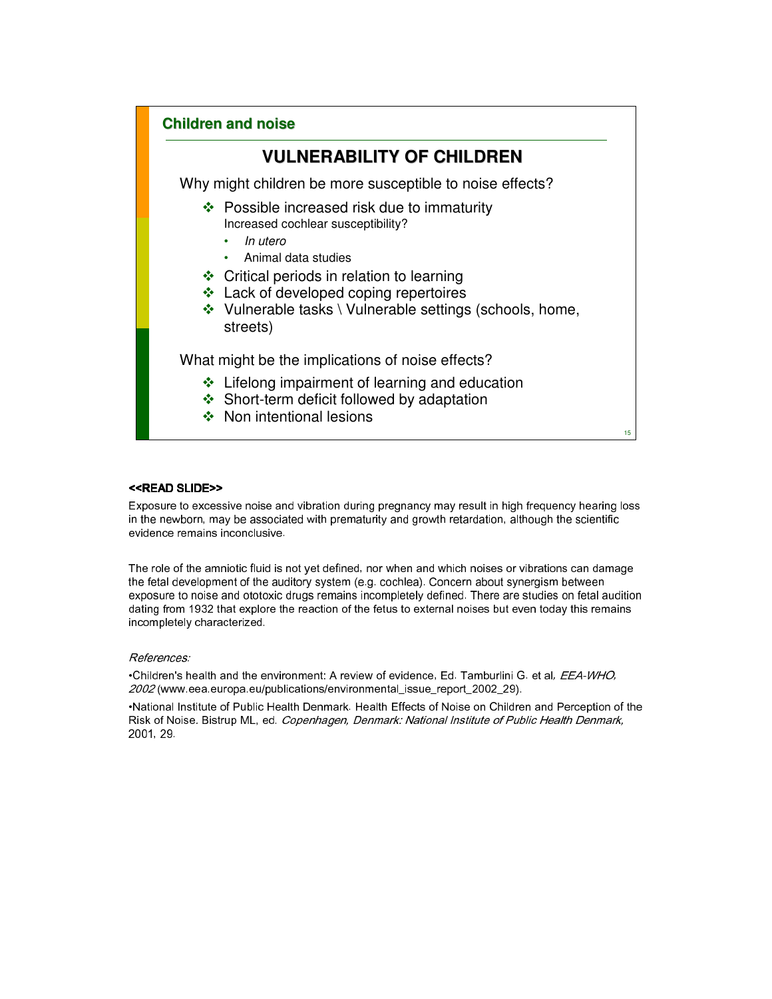# **VULNERABILITY OF CHILDREN**

Why might children be more susceptible to noise effects?

- ❖ Possible increased risk due to immaturity Increased cochlear susceptibility?
	- In utero
	- Animal data studies
- **❖** Critical periods in relation to learning
- ❖ Lack of developed coping repertoires
- $\cdot$  Vulnerable tasks \ Vulnerable settings (schools, home, streets)

What might be the implications of noise effects?

- ❖ Lifelong impairment of learning and education
- ❖ Short-term deficit followed by adaptation
- ❖ Non intentional lesions

15

#### <<READ SLIDE>>

Exposure to excessive noise and vibration during pregnancy may result in high frequency hearing loss in the newborn, may be associated with prematurity and growth retardation, although the scientific evidence remains inconclusive.

The role of the amniotic fluid is not yet defined, nor when and which noises or vibrations can damage the fetal development of the auditory system (e.g. cochlea). Concern about synergism between exposure to noise and ototoxic drugs remains incompletely defined. There are studies on fetal audition dating from 1932 that explore the reaction of the fetus to external noises but even today this remains incompletely characterized.

#### References:

•Children's health and the environment: A review of evidence, Ed. Tamburlini G. et al, EEA-WHO, 2002 (www.eea.europa.eu/publications/environmental\_issue\_report\_2002\_29).

•National Institute of Public Health Denmark. Health Effects of Noise on Children and Perception of the Risk of Noise. Bistrup ML, ed. Copenhagen, Denmark: National Institute of Public Health Denmark, 2001, 29.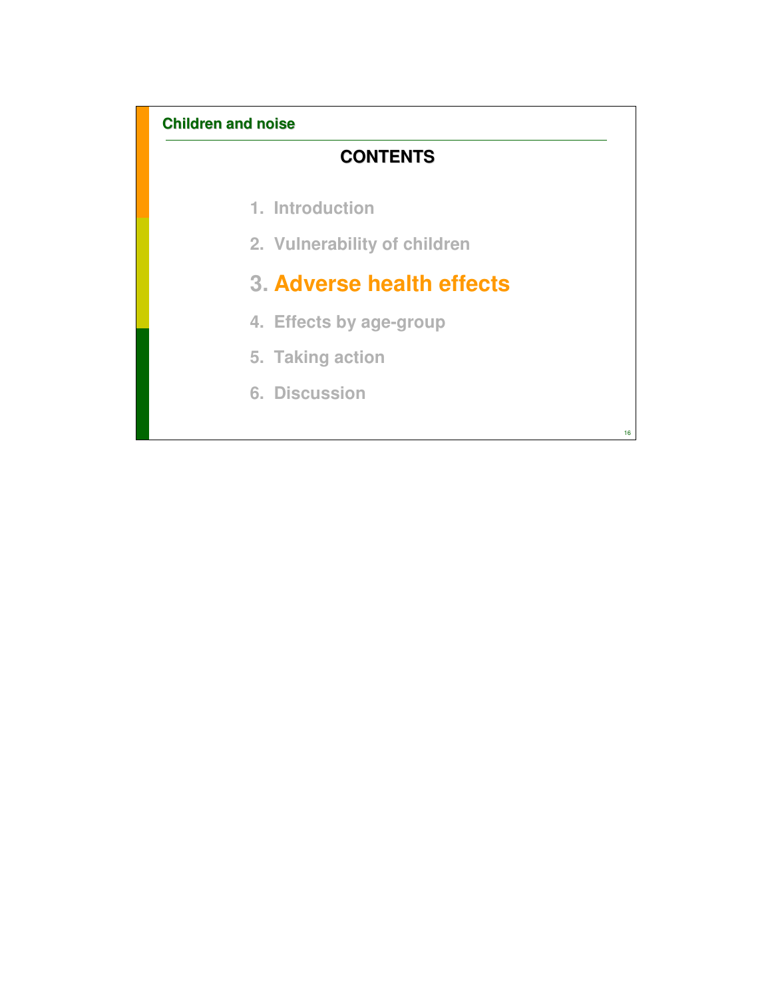# **CONTENTS**

- **1. Introduction**
- **2. Vulnerability of children**

# **3. Adverse health effects**

- **4. Effects by age-group**
- **5. Taking action**
- **6. Discussion**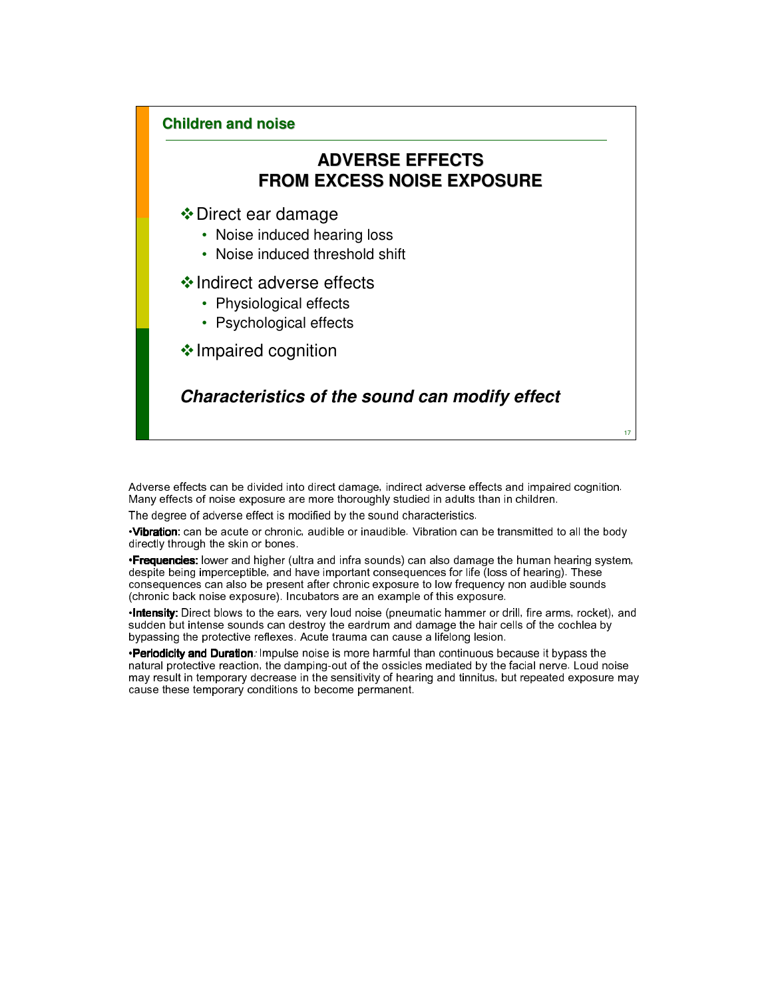# **ADVERSE EFFECTS FROM EXCESS NOISE EXPOSURE**

### Direct ear damage

- Noise induced hearing loss
- Noise induced threshold shift

#### ❖ Indirect adverse effects

- Physiological effects
- Psychological effects

 $\triangle$  Impaired cognition

## **Characteristics of the sound can modify effect**

Adverse effects can be divided into direct damage, indirect adverse effects and impaired cognition. Many effects of noise exposure are more thoroughly studied in adults than in children.

The degree of adverse effect is modified by the sound characteristics.

•Vibration: can be acute or chronic, audible or inaudible. Vibration can be transmitted to all the body directly through the skin or bones.

**·Frequencies:** lower and higher (ultra and infra sounds) can also damage the human hearing system, despite being imperceptible, and have important consequences for life (loss of hearing). These consequences can also be present after chronic exposure to low frequency non audible sounds (chronic back noise exposure). Incubators are an example of this exposure.

•Intensity: Direct blows to the ears, very loud noise (pneumatic hammer or drill, fire arms, rocket), and sudden but intense sounds can destroy the eardrum and damage the hair cells of the cochlea by bypassing the protective reflexes. Acute trauma can cause a lifelong lesion.

•Periodicity and Duration: Impulse noise is more harmful than continuous because it bypass the natural protective reaction, the damping-out of the ossicles mediated by the facial nerve. Loud noise may result in temporary decrease in the sensitivity of hearing and tinnitus, but repeated exposure may cause these temporary conditions to become permanent.

17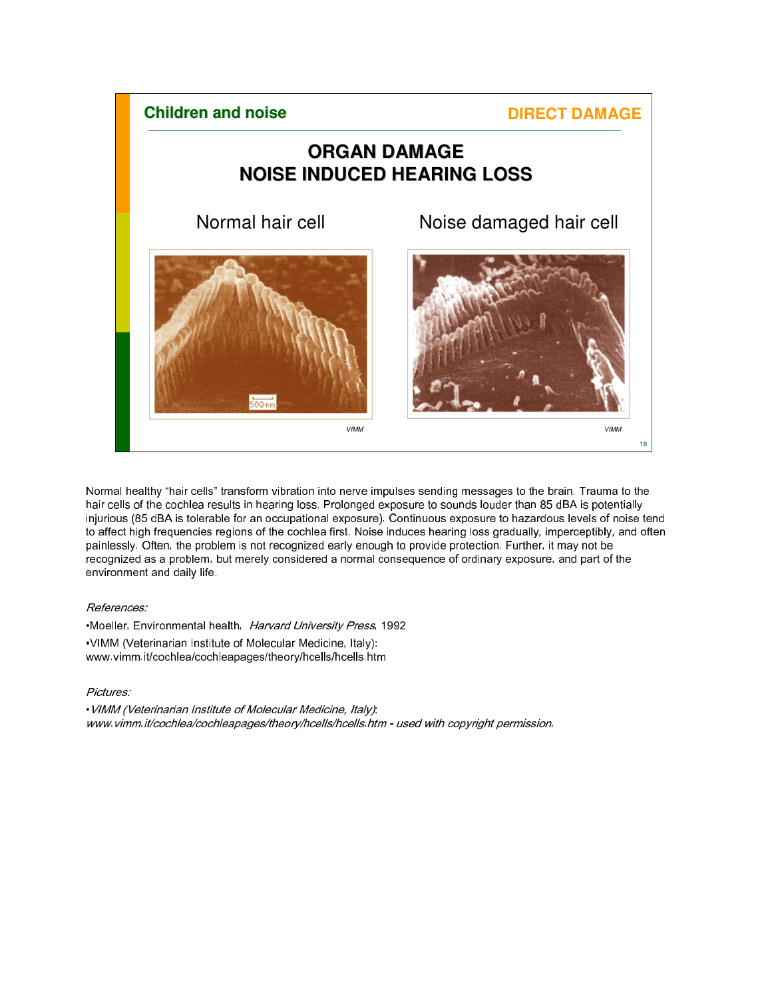

Normal healthy "hair cells" transform vibration into nerve impulses sending messages to the brain. Trauma to the hair cells of the cochlea results in hearing loss. Prolonged exposure to sounds louder than 85 dBA is potentially injurious (85 dBA is tolerable for an occupational exposure). Continuous exposure to hazardous levels of noise tend to affect high frequencies regions of the cochlea first. Noise induces hearing loss gradually, imperceptibly, and often painlessly. Often, the problem is not recognized early enough to provide protection. Further, it may not be recognized as a problem, but merely considered a normal consequence of ordinary exposure, and part of the environment and daily life.

#### References:

•Moeller, Environmental health, Harvard University Press, 1992 •VIMM (Veterinarian Institute of Molecular Medicine, Italy): www.vimm.it/cochlea/cochleapages/theory/hcells/hcells.htm

#### Pictures:

•VIMM (Veterinarian Institute of Molecular Medicine, Italy): www.vimm.it/cochlea/cochleapages/theory/hcells/hcells.htm - used with copyright permission.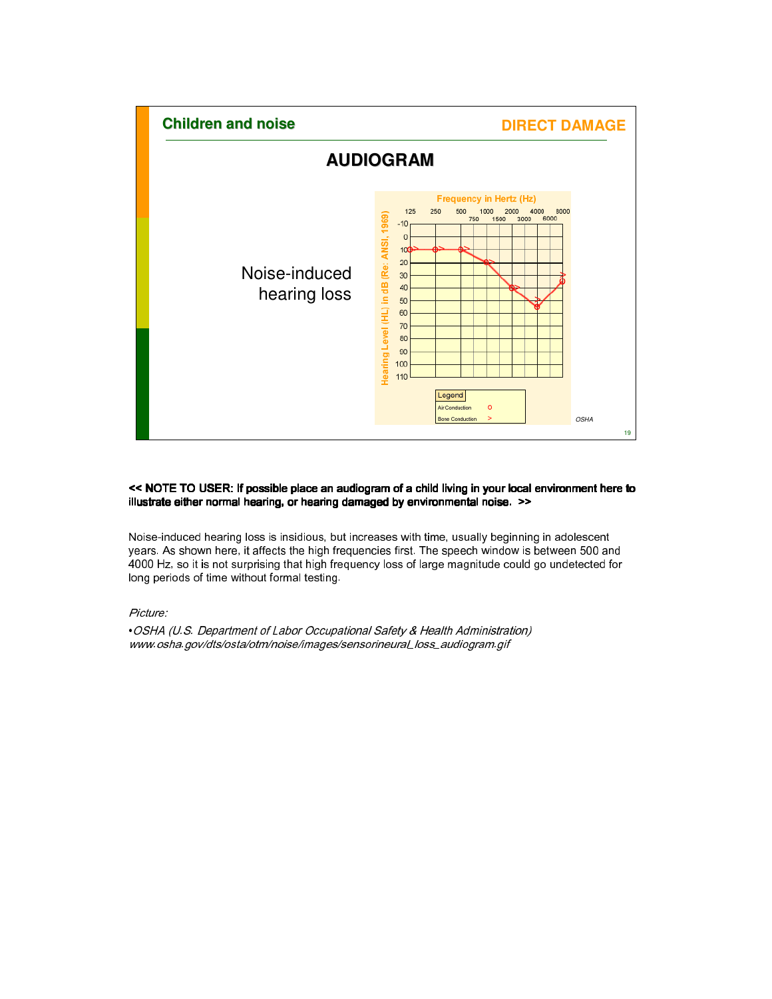

#### << NOTE TO USER: If possible place an audiogram of a child living in your local environment here to illustrate either normal hearing, or hearing damaged by environmental noise. >>

Noise-induced hearing loss is insidious, but increases with time, usually beginning in adolescent years. As shown here, it affects the high frequencies first. The speech window is between 500 and 4000 Hz, so it is not surprising that high frequency loss of large magnitude could go undetected for long periods of time without formal testing.

Picture:

•OSHA (U.S. Department of Labor Occupational Safety & Health Administration) www.osha.gov/dts/osta/otm/noise/images/sensorineural\_loss\_audiogram.gif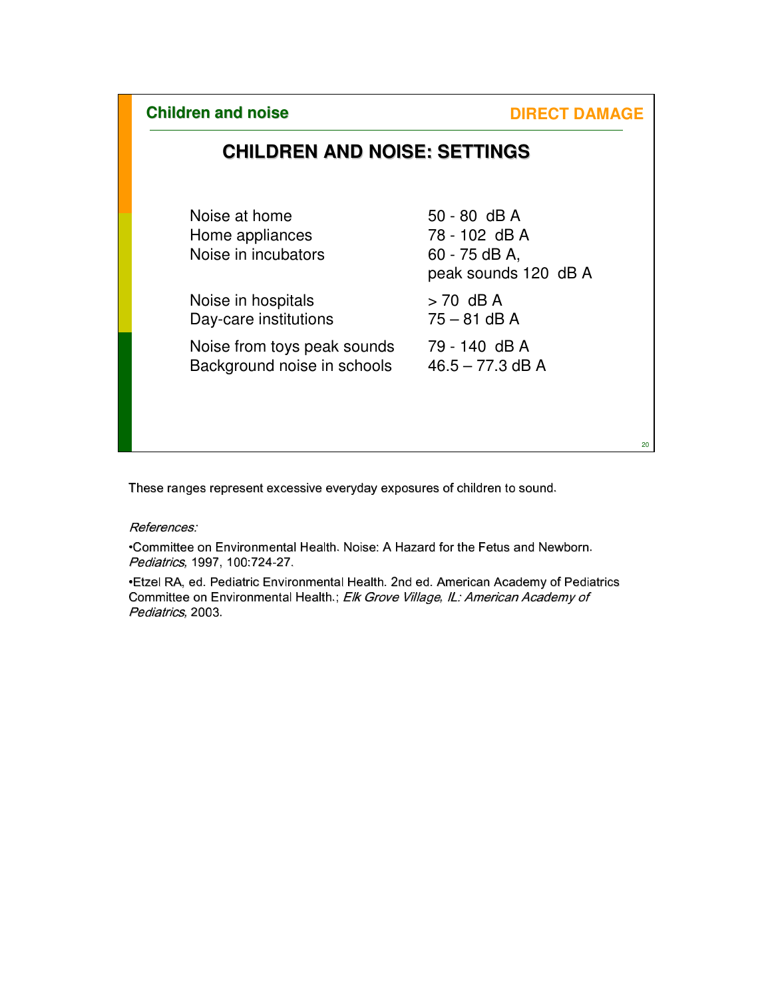**DIRECT DAMAGE** 

20

# **CHILDREN AND NOISE: SETTINGS**

| Noise at home<br>Home appliances<br>Noise in incubators | $50 - 80$ dB A<br>78 - 102 dB A<br>60 - 75 dB A,<br>peak sounds 120 dB A |
|---------------------------------------------------------|--------------------------------------------------------------------------|
| Noise in hospitals                                      | $> 70$ dB A                                                              |
| Day-care institutions                                   | $75 - 81$ dB A                                                           |
| Noise from toys peak sounds                             | 79 - 140 dB A                                                            |
| Background noise in schools                             | $46.5 - 77.3$ dB A                                                       |
|                                                         |                                                                          |

These ranges represent excessive everyday exposures of children to sound.

References:

•Committee on Environmental Health. Noise: A Hazard for the Fetus and Newborn. Pediatrics, 1997, 100:724-27.

•Etzel RA, ed. Pediatric Environmental Health. 2nd ed. American Academy of Pediatrics Committee on Environmental Health.; Elk Grove Village, IL: American Academy of Pediatrics, 2003.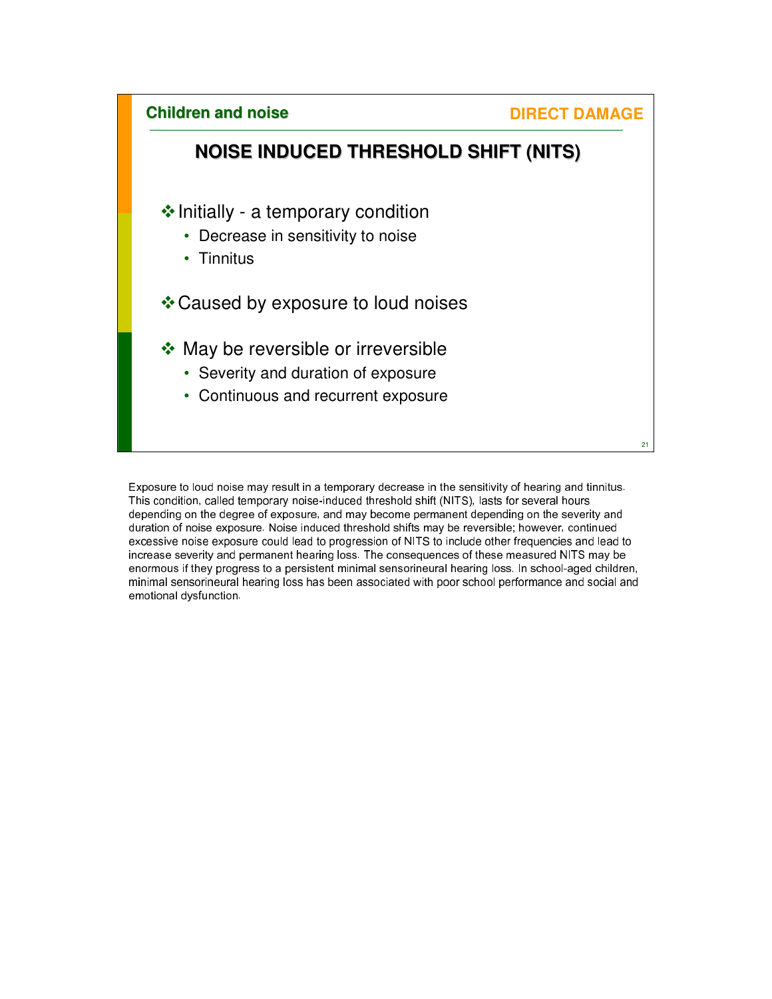**Children and noise NOISE INDUCED THRESHOLD SHIFT (NITS)**  $\triangle$  Initially - a temporary condition • Decrease in sensitivity to noise • Tinnitus Caused by exposure to loud noises ◆ May be reversible or irreversible • Severity and duration of exposure • Continuous and recurrent exposure **DIRECT DAMAGE** 

Exposure to loud noise may result in a temporary decrease in the sensitivity of hearing and tinnitus. This condition, called temporary noise-induced threshold shift (NITS), lasts for several hours depending on the degree of exposure, and may become permanent depending on the severity and duration of noise exposure. Noise induced threshold shifts may be reversible; however, continued excessive noise exposure could lead to progression of NITS to include other frequencies and lead to increase severity and permanent hearing loss. The consequences of these measured NITS may be enormous if they progress to a persistent minimal sensorineural hearing loss. In school-aged children, minimal sensorineural hearing loss has been associated with poor school performance and social and emotional dysfunction.

21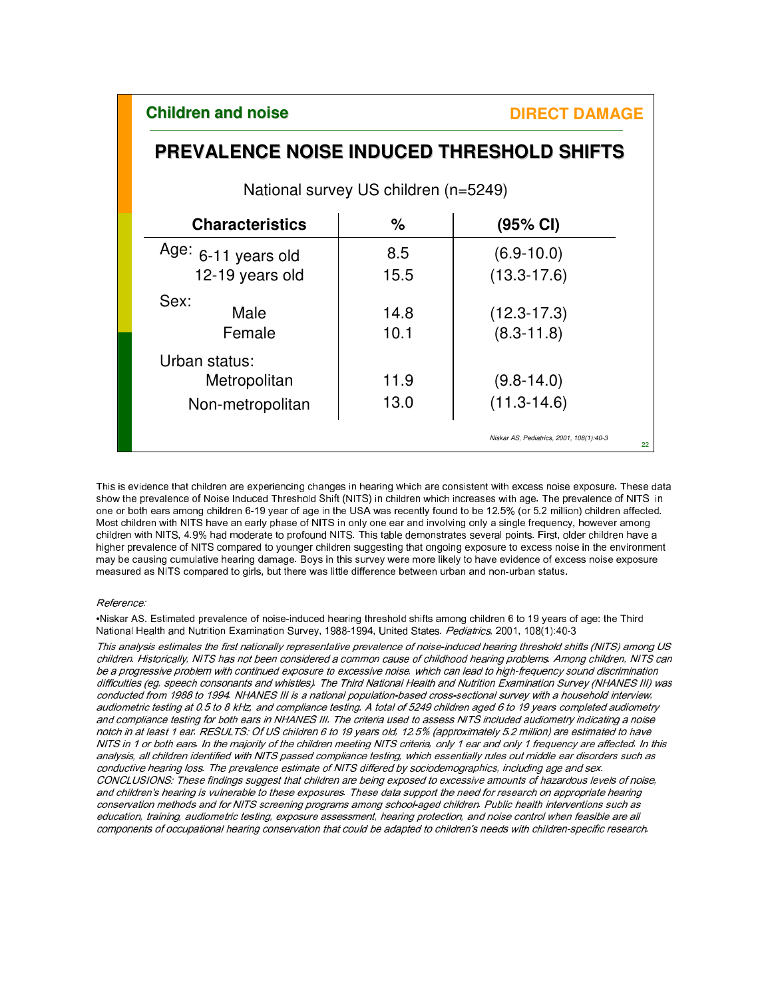22

# **PREVALENCE NOISE INDUCED THRESHOLD SHIFTS**

National survey US children (n=5249)

| <b>Characteristics</b> | ℅    | (95% CI)                                 |
|------------------------|------|------------------------------------------|
| Age: $6-11$ years old  | 8.5  | $(6.9 - 10.0)$                           |
| 12-19 years old        | 15.5 | $(13.3 - 17.6)$                          |
| Sex:<br>Male           | 14.8 | $(12.3 - 17.3)$                          |
| Female                 | 10.1 | $(8.3 - 11.8)$                           |
| Urban status:          |      |                                          |
| Metropolitan           | 11.9 | $(9.8 - 14.0)$                           |
| Non-metropolitan       | 13.0 | $(11.3 - 14.6)$                          |
|                        |      | Niskar AS, Pediatrics, 2001, 108(1):40-3 |

This is evidence that children are experiencing changes in hearing which are consistent with excess noise exposure. These data show the prevalence of Noise Induced Threshold Shift (NITS) in children which increases with age. The prevalence of NITS in one or both ears among children 6-19 year of age in the USA was recently found to be 12.5% (or 5.2 million) children affected. Most children with NITS have an early phase of NITS in only one ear and involving only a single frequency, however among children with NITS, 4.9% had moderate to profound NITS. This table demonstrates several points. First, older children have a higher prevalence of NITS compared to younger children suggesting that ongoing exposure to excess noise in the environment may be causing cumulative hearing damage. Boys in this survey were more likely to have evidence of excess noise exposure measured as NITS compared to girls, but there was little difference between urban and non-urban status.

#### Reference:

•Niskar AS. Estimated prevalence of noise-induced hearing threshold shifts among children 6 to 19 years of age: the Third National Health and Nutrition Examination Survey, 1988-1994, United States. Pediatrics, 2001, 108(1):40-3

This analysis estimates the first nationally representative prevalence of noise-induced hearing threshold shifts (NITS) among US children. Historically, NITS has not been considered a common cause of childhood hearing problems. Among children, NITS can be a progressive problem with continued exposure to excessive noise, which can lead to high-frequency sound discrimination difficulties (eg, speech consonants and whistles). The Third National Health and Nutrition Examination Survey (NHANES III) was conducted from 1988 to 1994. NHANES III is a national population-based cross-sectional survey with a household interview, audiometric testing at 0.5 to 8 kHz, and compliance testing. A total of 5249 children aged 6 to 19 years completed audiometry and compliance testing for both ears in NHANES III. The criteria used to assess NITS included audiometry indicating a noise notch in at least 1 ear. RESULTS: Of US children 6 to 19 years old, 12.5% (approximately 5.2 million) are estimated to have NITS in 1 or both ears. In the majority of the children meeting NITS criteria, only 1 ear and only 1 frequency are affected. In this analysis, all children identified with NITS passed compliance testing, which essentially rules out middle ear disorders such as conductive hearing loss. The prevalence estimate of NITS differed by sociodemographics, including age and sex. CONCLUSIONS: These findings suggest that children are being exposed to excessive amounts of hazardous levels of noise, and children's hearing is vulnerable to these exposures. These data support the need for research on appropriate hearing conservation methods and for NITS screening programs among school-aged children. Public health interventions such as education, training, audiometric testing, exposure assessment, hearing protection, and noise control when feasible are all components of occupational hearing conservation that could be adapted to children's needs with children-specific research.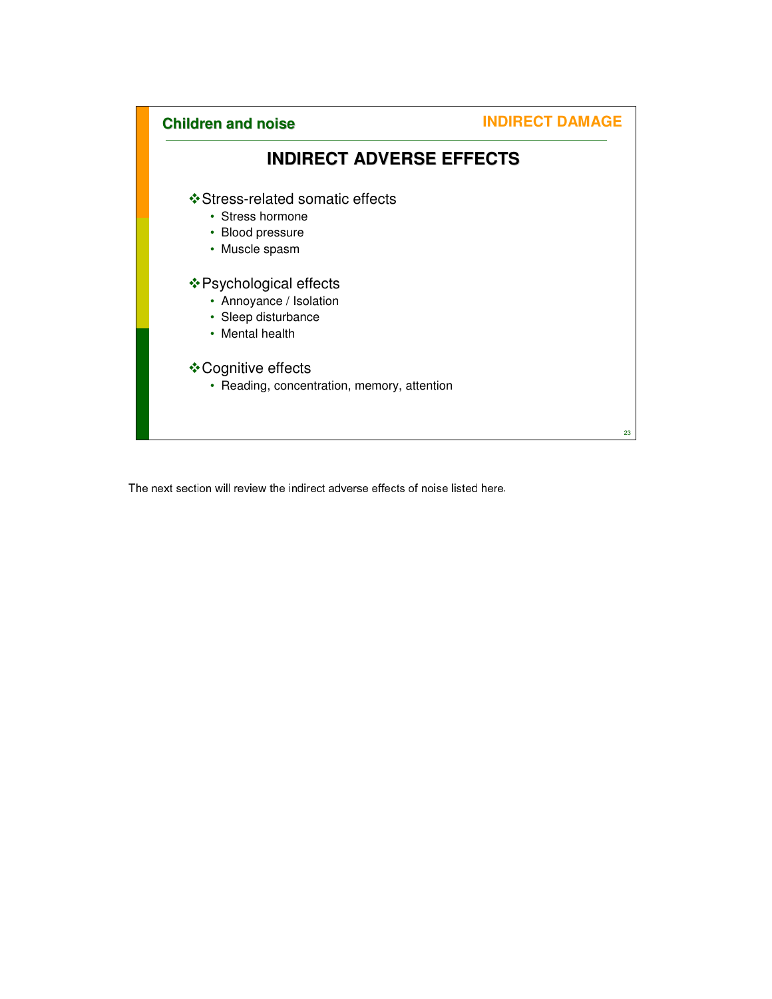

The next section will review the indirect adverse effects of noise listed here.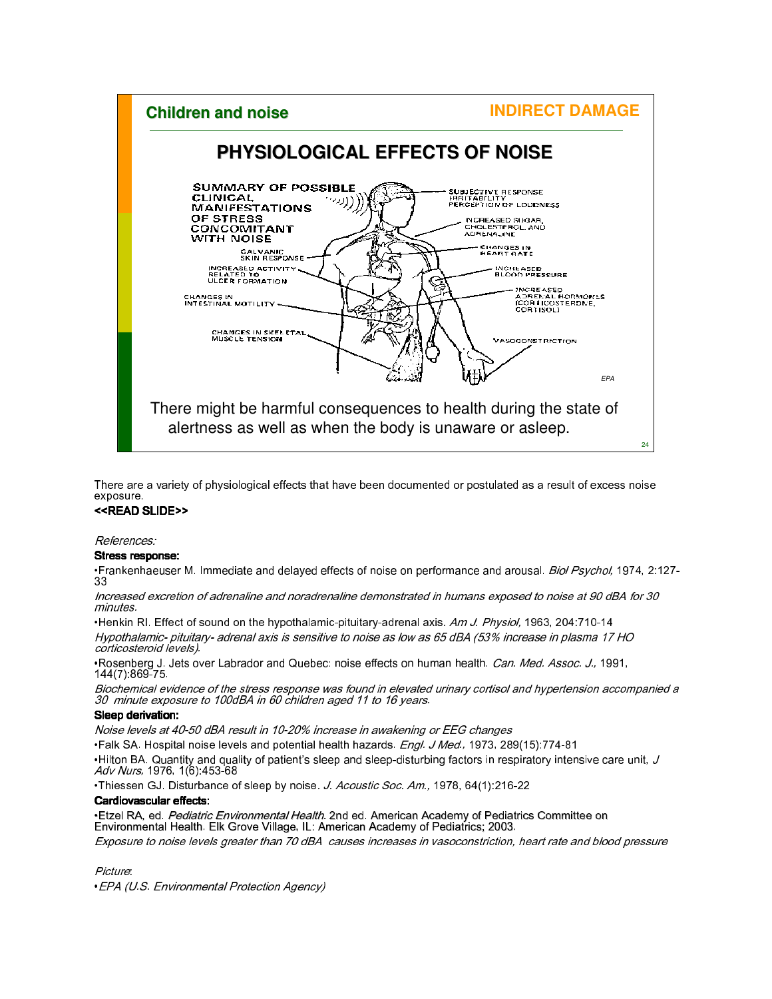#### **INDIRECT DAMAGE Children and noise PHYSIOLOGICAL EFFECTS OF NOISE SUMMARY OF POSSIBLE** SUBJECTIVE RESPONSE<br>IRBITABILITY<br>PERCEPTION OF LOUDNESS **CLINICAL MANIFESTATIONS** OF STRESS INGREASED SUGAR,<br>CHOLESTEROL, AND<br>ADRENALINE CONCOMITANT WITH NOISE CHANGES IN<br>HEART RATE GAL VANIC<br>SKIN RESPONSE INGREASED ACTIVITY<br>RELATED TO<br>ULCER FORMATION INCREASED<br>BLOOD PRESSURE ę **INCREASED** INCREASED<br>ADBENAL HORMONES<br>(COR HOOSTERDNE,<br>CORTISOL) CHANGES IN<br>INTESTINAL MOTILITY CHANGES IN SKELETAL<br>MUSCLE TENSION VASOCONSTRICTION t in EPA There might be harmful consequences to health during the state of alertness as well as when the body is unaware or asleep. 24

There are a variety of physiological effects that have been documented or postulated as a result of excess noise exposure.

#### <<READ SLIDE>>

References:

#### Stress response:

•Frankenhaeuser M. Immediate and delayed effects of noise on performance and arousal. *Biol Psychol*, 1974, 2:127-33

Increased excretion of adrenaline and noradrenaline demonstrated in humans exposed to noise at 90 dBA for 30 minutes.

•Henkin RI. Effect of sound on the hypothalamic-pituitary-adrenal axis. Am J. Physiol, 1963, 204:710-14 Hypothalamic- pituitary- adrenal axis is sensitive to noise as low as 65 dBA (53% increase in plasma 17 HO corticosteroid levels).

•Rosenberg J. Jets over Labrador and Quebec: noise effects on human health. *Can. Med. Assoc. J.*, 1991, 144(7):869-75.

Biochemical evidence of the stress response was found in elevated urinary cortisol and hypertension accompanied a 30 minute exposure to 100dBA in 60 children aged 11 to 16 years.

#### Sleep derivation:

Noise levels at 40-50 dBA result in 10-20% increase in awakening or EEG changes

•Falk SA. Hospital noise levels and potential health hazards. *Engl. J Med.*, 1973, 289(15):774-81 •Hilton BA. Quantity and quality of patient's sleep and sleep-disturbing factors in respiratory intensive care unit,  $J$ Adv Nurs, 1976, 1(6):453-68

•Thiessen GJ. Disturbance of sleep by noise. J. Acoustic Soc. Am., 1978, 64(1):216-22

#### Cardiovascular effects:

•Etzel RA, ed. *Pediatric Environmental Health.* 2nd ed. American Academy of Pediatrics Committee on Environmental Health. Elk Grove Village, IL: American Academy of Pediatrics; 2003. Exposure to noise levels greater than 70 dBA causes increases in vasoconstriction, heart rate and blood pressure

Picture:

•EPA (U.S. Environmental Protection Agency)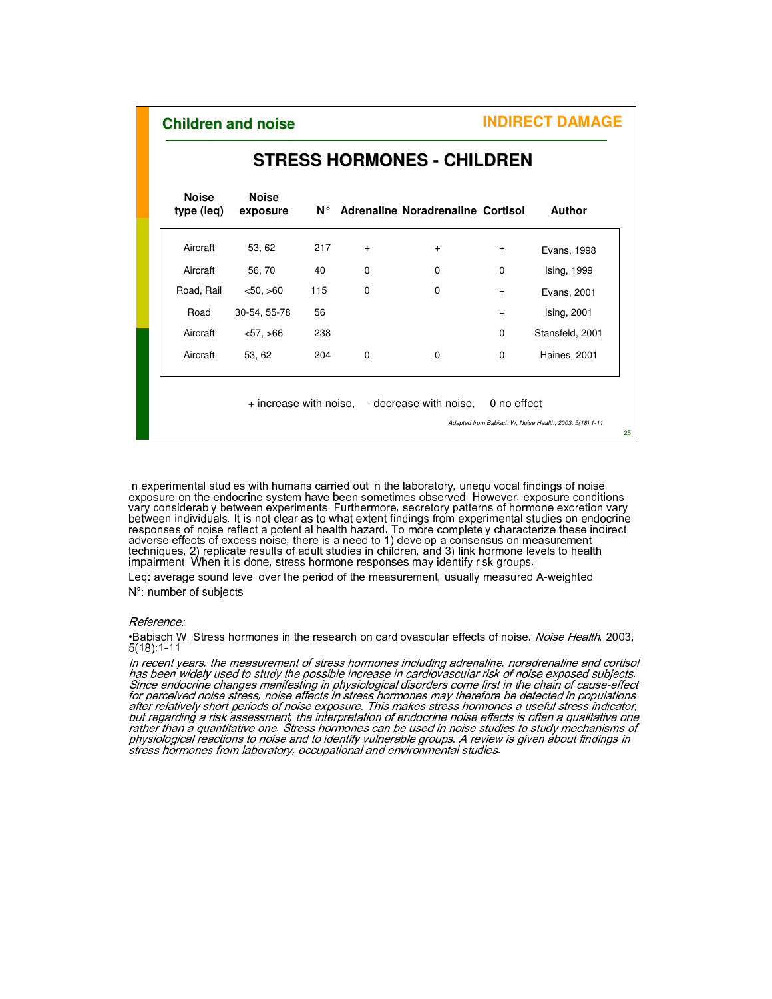| <b>Noise</b><br>type (leq) | <b>Noise</b><br>exposure | N° I |     | Adrenaline Noradrenaline Cortisol |             | <b>Author</b>   |
|----------------------------|--------------------------|------|-----|-----------------------------------|-------------|-----------------|
| Aircraft                   | 53, 62                   | 217  | $+$ | $\ddot{}$                         | $\ddot{}$   | Evans, 1998     |
| Aircraft                   | 56, 70                   | 40   | 0   | 0                                 | 0           | Ising, 1999     |
| Road, Rail                 | < 50, >60                | 115  | 0   | 0                                 | $\ddot{}$   | Evans, 2001     |
| Road                       | 30-54, 55-78             | 56   |     |                                   | $+$         | Ising, 2001     |
| Aircraft                   | < 57, >66                | 238  |     |                                   | $\mathbf 0$ | Stansfeld, 2001 |
| Aircraft                   | 53, 62                   | 204  | 0   | $\Omega$                          | $\mathbf 0$ | Haines, 2001    |

### **STRESS HORMONES - CHILDREN**

Adapted from Babisch W, Noise Health, 2003, 5(18):1-11

25

In experimental studies with humans carried out in the laboratory, unequivocal findings of noise exposure on the endocrine system have been sometimes observed. However, exposure conditions vary considerably between experiments. Furthermore, secretory patterns of hormone excretion vary between individuals. It is not clear as to what extent findings from experimental studies on endocrine responses of noise reflect a potential health hazard. To more completely characterize these indirect adverse effects of excess noise, there is a need to 1) develop a consensus on measurement techniques, 2) replicate results of adult studies in children, and 3) link hormone levels to health impairment. When it is done, stress hormone responses may identify risk groups.

Leq: average sound level over the period of the measurement, usually measured A-weighted N°: number of subjects

#### Reference:

•Babisch W. Stress hormones in the research on cardiovascular effects of noise. Noise Health, 2003, 5(18):1-11

In recent years, the measurement of stress hormones including adrenaline, noradrenaline and cortisol has been widely used to study the possible increase in cardiovascular risk of noise exposed subjects. Since endocrine changes manifesting in physiological disorders come first in the chain of cause-effect for perceived noise stress, noise effects in stress hormones may therefore be detected in populations after relatively short periods of noise exposure. This makes stress hormones a useful stress indicator, but regarding a risk assessment, the interpretation of endocrine noise effects is often a qualitative one rather than a quantitative one. Stress hormones can be used in noise studies to study mechanisms of physiological reactions to noise and to identify vulnerable groups. A review is given about findings in stress hormones from laboratory, occupational and environmental studies.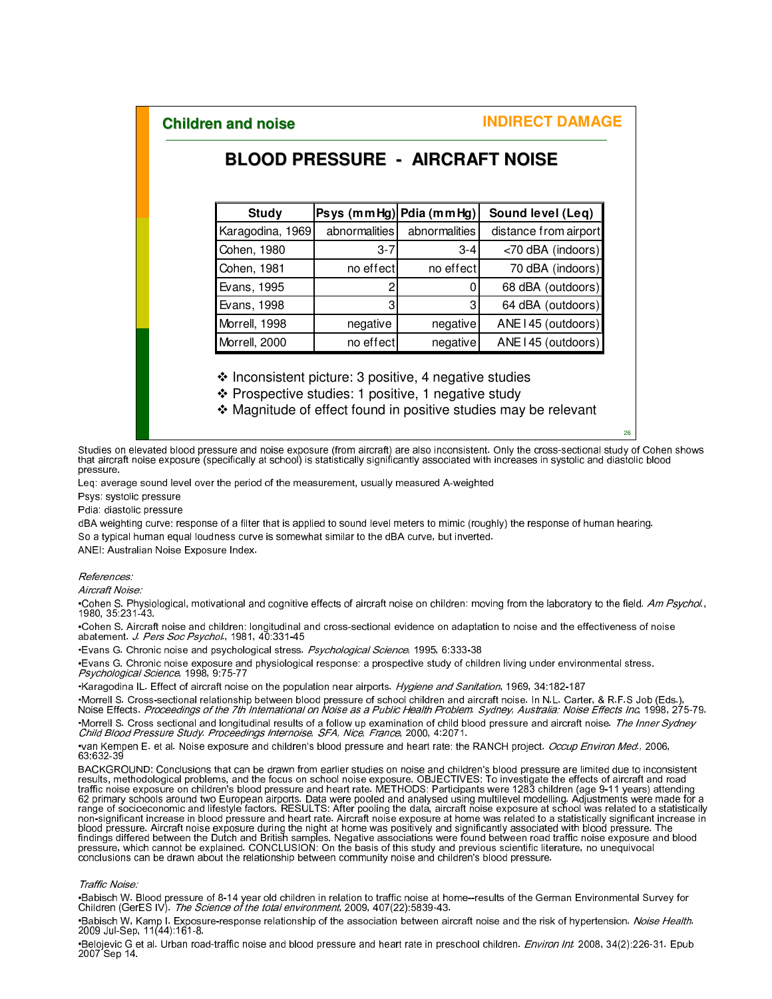### **BLOOD PRESSURE - AIRCRAFT NOISE**

| <b>Study</b>     | Psys (mmHg) Pdia (mmHg) |               | Sound level (Leq)     |
|------------------|-------------------------|---------------|-----------------------|
| Karagodina, 1969 | abnormalities           | abnormalities | distance from airport |
| Cohen, 1980      | $3 - 7$                 | $3-4$         | <70 dBA (indoors)     |
| Cohen, 1981      | no effect               | no effect     | 70 dBA (indoors)      |
| Evans, 1995      | 2                       |               | 68 dBA (outdoors)     |
| Evans, 1998      | 31                      | 3             | 64 dBA (outdoors)     |
| Morrell, 1998    | negative                | negative      | ANE I 45 (outdoors)   |
| Morrell, 2000    | no effect               | negative      | ANE I 45 (outdoors)   |

 $\cdot$  Inconsistent picture: 3 positive, 4 negative studies

Prospective studies: 1 positive, 1 negative study

Magnitude of effect found in positive studies may be relevant

26

Studies on elevated blood pressure and noise exposure (from aircraft) are also inconsistent. Only the cross-sectional study of Cohen shows that aircraft noise exposure (specifically at school) is statistically significantly associated with increases in systolic and diastolic blood pressure.

Leq: average sound level over the period of the measurement, usually measured A-weighted

Psys: systolic pressure

Pdia: diastolic pressure

dBA weighting curve: response of a filter that is applied to sound level meters to mimic (roughly) the response of human hearing. So a typical human equal loudness curve is somewhat similar to the dBA curve, but inverted.

ANEI: Australian Noise Exposure Index.

#### References:

Aircraft Noise:

•Cohen S. Physiological, motivational and cognitive effects of aircraft noise on children: moving from the laboratory to the field*. Am Psychol.*,<br>1980, 35:231-43.

•Cohen S. Aircraft noise and children: longitudinal and cross-sectional evidence on adaptation to noise and the effectiveness of noise<br>abatement. *J. Pers Soc Psychol.*, 1981, 40:331-45

•Evans G. Chronic noise and psychological stress. Psychological Science, 1995, 6:333-38

•Evans G. Chronic noise exposure and physiological response: a prospective study of children living under environmental stress.<br>*Psychological Science*, 1998, 9:75-77

•Karagodina IL. Effect of aircraft noise on the population near airports. Hygiene and Sanitation, 1969, 34:182-187

•Morrell S. Cross-sectional relationship between blood pressure of school children and aircraft noise. In N.L. Carter, & R.F.S Job (Eds.), Noise Effects. Proceedings of the 7th International on Noise as a Public Health Problem. Sydney, Australia: Noise Effects Inc, 1998, 275-79. •Morrell S. Cross sectional and longitudinal results of a follow up examination of child blood pressure and aircraft noise. The Inner Sydney Child Blood Pressure Study. Proceedings Internoise, SFA, Nice, France, 2000, 4:2071.

•van Kempen E. et al. Noise exposure and children's blood pressure and heart rate: the RANCH project. Occup Environ Med., 2006, 63:632-39

BACKGROUND: Conclusions that can be drawn from earlier studies on noise and children's blood pressure are limited due to inconsistent<br>results, methodological problems, and the focus on school noise exposure. OBJECTIVES: To non-significant increase in blood pressure and heart rate. Aircraft noise exposure at home was related to a statistically significant increase in blood pressure. Aircraft noise exposure during the night at home was positively and significantly associated with blood pressure. The<br>findings differed between the Dutch and British samples. Negative associations were foun pressure, which cannot be explained. CONCLUSION: On the basis of this study and previous scientific literature, no unequivocal<br>conclusions can be drawn about the relationship between community noise and children's blood pr

#### Traffic Noise:

•Babisch W. Blood pressure of 8-14 year old children in relation to traffic noise at home--results of the German Environmental Survey for Children (GerES IV). The Science of the total environment, 2009, 407(22):5839-43.

•Babisch W, Kamp I. Exposure-response relationship of the association between aircraft noise and the risk of hypertension. *Noise Health.*<br>2009 Jul-Sep, 11(44):161-8.

•Belojevic G et al. Urban road-traffic noise and blood pressure and heart rate in preschool children. Environ Int. 2008, 34(2):226-31. Epub 2007 Sep 14.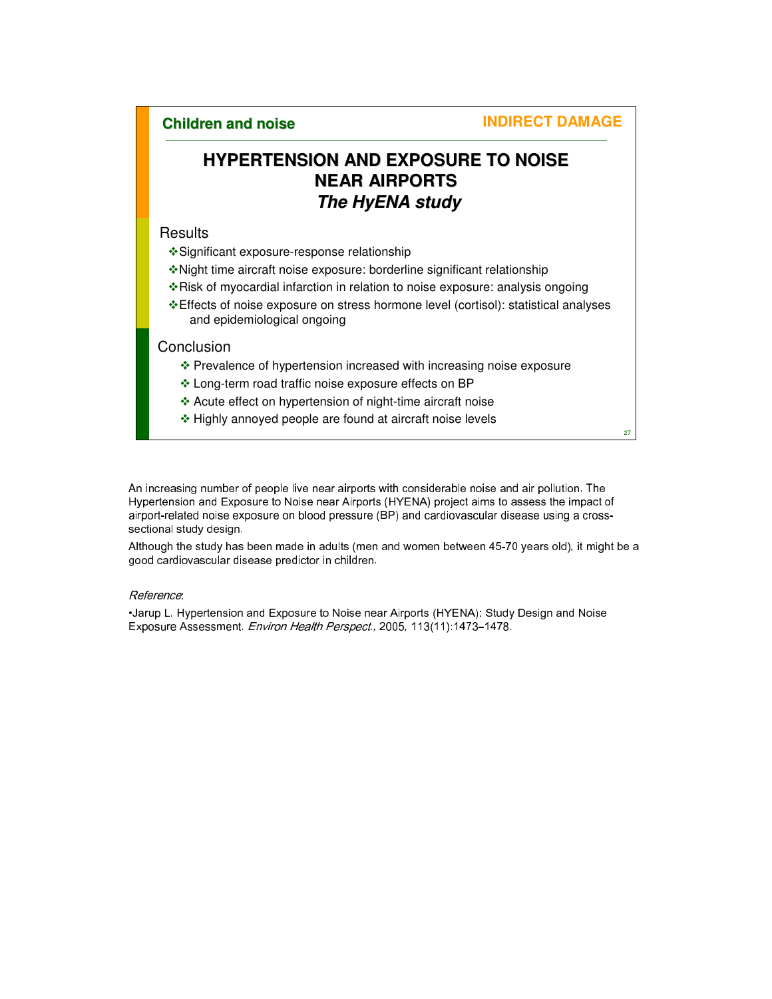# **HYPERTENSION AND EXPOSURE TO NOISE NEAR AIRPORTS The HyENA study**

#### **Results**

- Significant exposure-response relationship
- Night time aircraft noise exposure: borderline significant relationship
- \* Risk of myocardial infarction in relation to noise exposure: analysis ongoing
- Effects of noise exposure on stress hormone level (cortisol): statistical analyses and epidemiological ongoing

#### **Conclusion**

- \* Prevalence of hypertension increased with increasing noise exposure
- Long-term road traffic noise exposure effects on BP
- Acute effect on hypertension of night-time aircraft noise
- Highly annoyed people are found at aircraft noise levels

27

An increasing number of people live near airports with considerable noise and air pollution. The Hypertension and Exposure to Noise near Airports (HYENA) project aims to assess the impact of airport-related noise exposure on blood pressure (BP) and cardiovascular disease using a crosssectional study design.

Although the study has been made in adults (men and women between 45-70 years old), it might be a good cardiovascular disease predictor in children.

#### Reference:

•Jarup L. Hypertension and Exposure to Noise near Airports (HYENA): Study Design and Noise Exposure Assessment. Environ Health Perspect., 2005, 113(11): 1473-1478.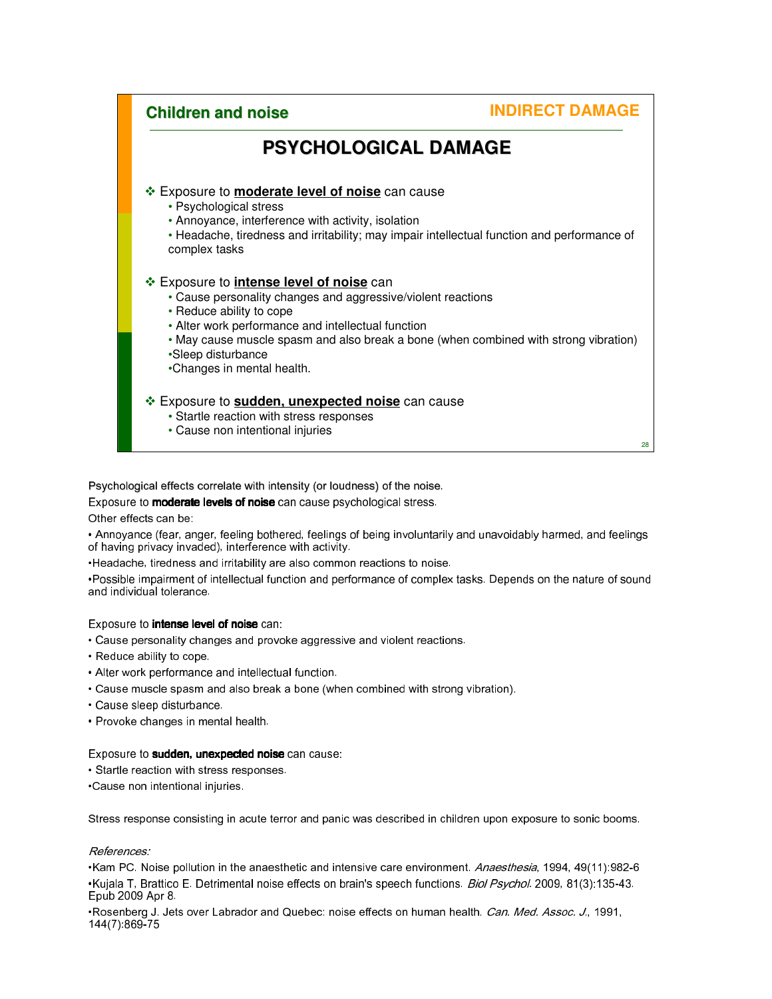

Psychological effects correlate with intensity (or loudness) of the noise.

Exposure to **moderate levels of noise** can cause psychological stress.

Other effects can be:

• Annoyance (fear, anger, feeling bothered, feelings of being involuntarily and unavoidably harmed, and feelings of having privacy invaded), interference with activity.

•Headache, tiredness and irritability are also common reactions to noise.

•Possible impairment of intellectual function and performance of complex tasks. Depends on the nature of sound and individual tolerance.

#### Exposure to intense level of noise can:

• Cause personality changes and provoke aggressive and violent reactions.

- Reduce ability to cope.
- Alter work performance and intellectual function.
- Cause muscle spasm and also break a bone (when combined with strong vibration).
- Cause sleep disturbance.
- Provoke changes in mental health.

#### Exposure to **sudden, unexpected noise** can cause:

• Startle reaction with stress responses.

•Cause non intentional injuries.

Stress response consisting in acute terror and panic was described in children upon exposure to sonic booms.

#### References:

•Kam PC. Noise pollution in the anaesthetic and intensive care environment. Anaesthesia, 1994, 49(11):982-6 •Kujala T, Brattico E. Detrimental noise effects on brain's speech functions. Biol Psychol. 2009, 81(3):135-43. Epub 2009 Apr 8.

•Rosenberg J. Jets over Labrador and Quebec: noise effects on human health. Can. Med. Assoc. J., 1991, 144(7):869-75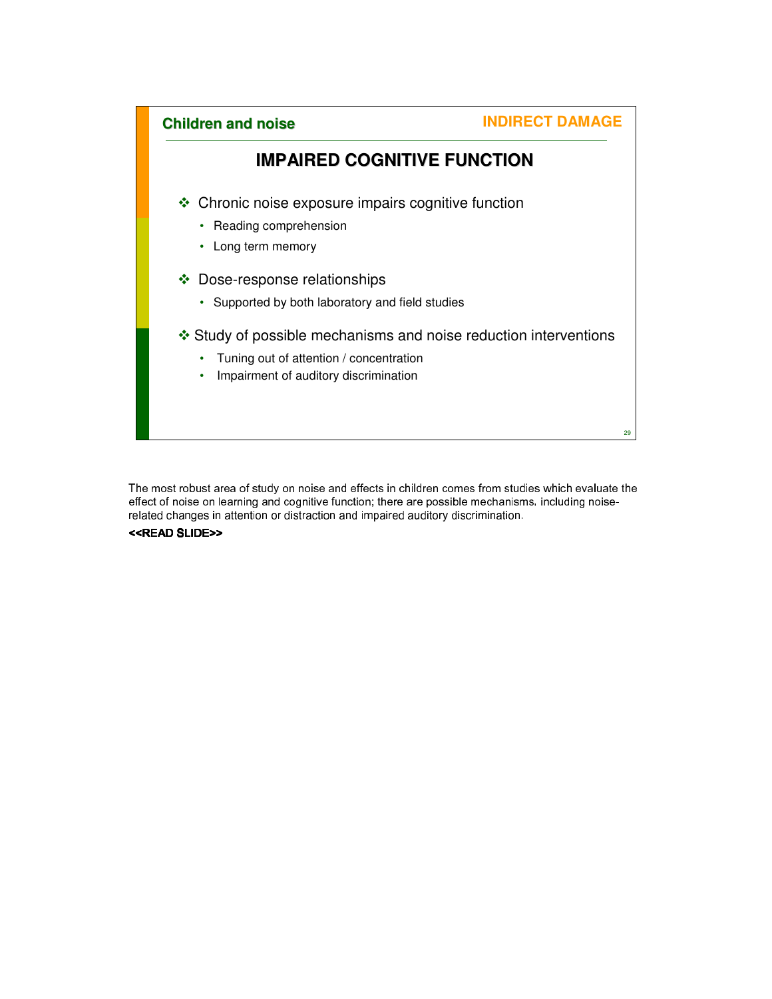

The most robust area of study on noise and effects in children comes from studies which evaluate the effect of noise on learning and cognitive function; there are possible mechanisms, including noiserelated changes in attention or distraction and impaired auditory discrimination.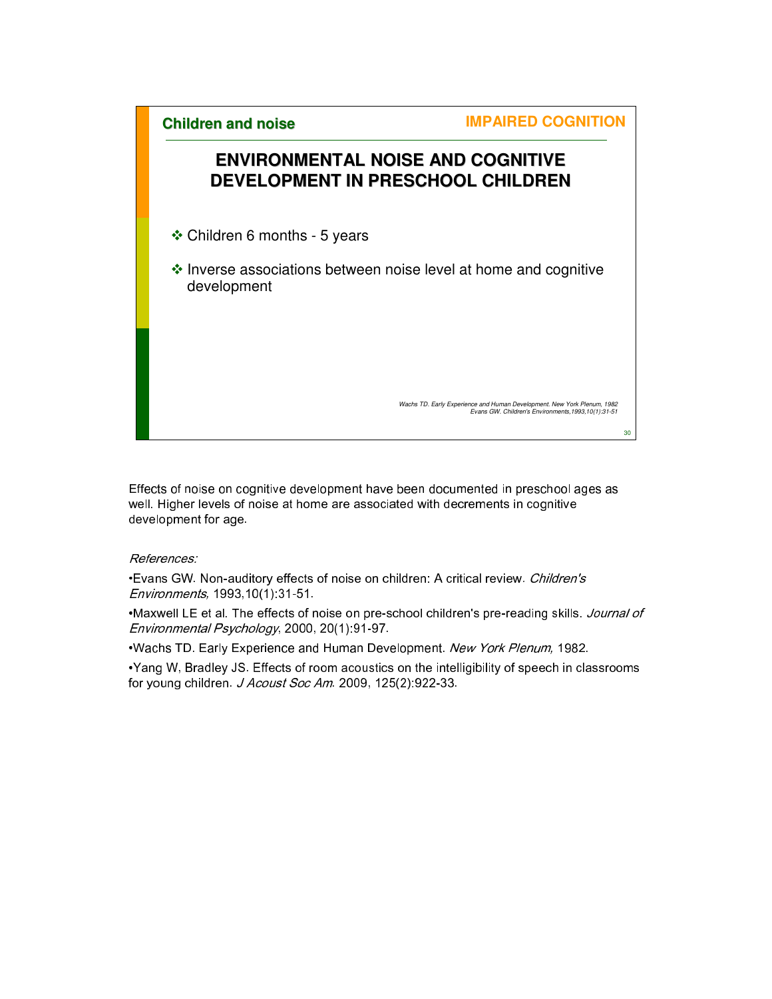# **ENVIRONMENTAL NOISE AND COGNITIVE DEVELOPMENT IN PRESCHOOL CHILDREN**

Children 6 months - 5 years

 $\cdot$  Inverse associations between noise level at home and cognitive development

Wachs TD. Early Experience and Human Development. New York Plenum, 1982 Evans GW. Children's Environments,1993,10(1):31-51

30

Effects of noise on cognitive development have been documented in preschool ages as well. Higher levels of noise at home are associated with decrements in cognitive development for age.

#### References:

•Evans GW. Non-auditory effects of noise on children: A critical review. Children's Environments, 1993,10(1):31-51.

•Maxwell LE et al. The effects of noise on pre-school children's pre-reading skills. Journal of Environmental Psychology, 2000, 20(1):91-97.

•Wachs TD. Early Experience and Human Development. New York Plenum, 1982.

•Yang W, Bradley JS. Effects of room acoustics on the intelligibility of speech in classrooms for young children. J Acoust Soc Am. 2009, 125(2):922-33.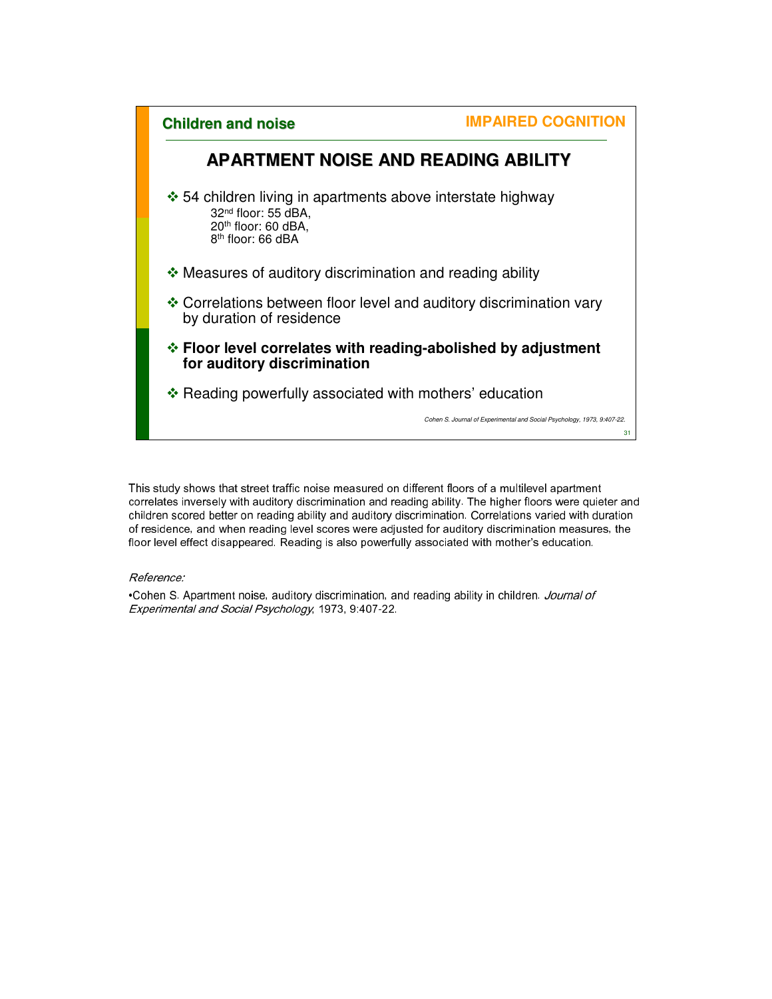

This study shows that street traffic noise measured on different floors of a multilevel apartment correlates inversely with auditory discrimination and reading ability. The higher floors were quieter and children scored better on reading ability and auditory discrimination. Correlations varied with duration of residence, and when reading level scores were adjusted for auditory discrimination measures, the floor level effect disappeared. Reading is also powerfully associated with mother's education.

#### Reference:

•Cohen S. Apartment noise, auditory discrimination, and reading ability in children. Journal of Experimental and Social Psychology, 1973, 9:407-22.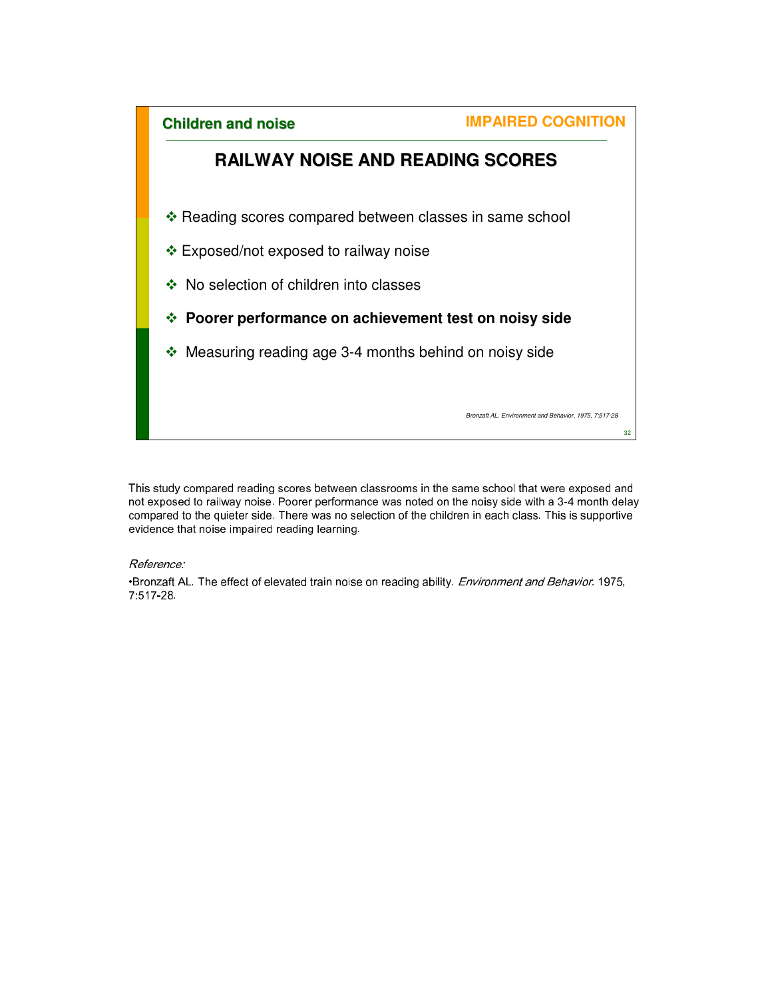

This study compared reading scores between classrooms in the same school that were exposed and not exposed to railway noise. Poorer performance was noted on the noisy side with a 3-4 month delay compared to the quieter side. There was no selection of the children in each class. This is supportive evidence that noise impaired reading learning.

#### Reference:

•Bronzaft AL. The effect of elevated train noise on reading ability. Environment and Behavior. 1975, 7:517-28.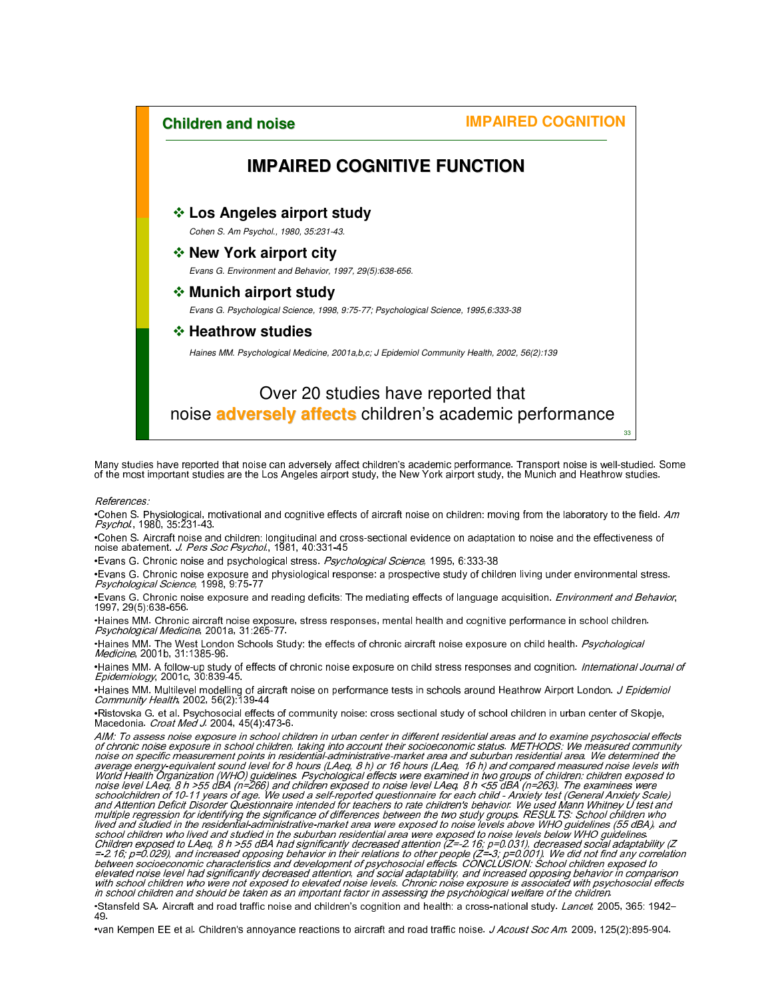33

### **IMPAIRED COGNITIVE FUNCTION**

#### **Los Angeles airport study**

Cohen S. Am Psychol., 1980, 35:231-43.

#### **New York airport city**

Evans G. Environment and Behavior, 1997, 29(5):638-656.

#### **Munich airport study**

Evans G. Psychological Science, 1998, 9:75-77; Psychological Science, 1995,6:333-38

*<b>❖ Heathrow studies* 

Haines MM. Psychological Medicine, 2001a,b,c; J Epidemiol Community Health, 2002, 56(2):139

# Over 20 studies have reported that noise **adversely affects** children's academic performance

Many studies have reported that noise can adversely affect children's academic performance. Transport noise is well-studied. Some<br>of the most important studies are the Los Angeles airport study, the New York airport study,

References:

•Cohen S. Physiological, motivational and cognitive effects of aircraft noise on children: moving from the laboratory to the field. *Am*<br>*Psychol.*, 1980, 35:231-43.

•Cohen S. Aircraft noise and children: longitudinal and cross-sectional evidence on adaptation to noise and the effectiveness of noise abatement. J. Pers Soc Psychol., 1981, 40:331-45

•Evans G. Chronic noise and psychological stress. Psychological Science, 1995, 6:333-38

•Evans G. Chronic noise exposure and physiological response: a prospective study of children living under environmental stress.<br>*Psychological Science,* 1998, 9:75-77

•Evans G. Chronic noise exposure and reading deficits: The mediating effects of language acquisition. *Environment and Behavior*,<br>1997, 29(5):638-656.

•Haines MM. Chronic aircraft noise exposure, stress responses, mental health and cognitive performance in school children.<br>*Psychological Medicine*, 2001a, 31:265-77.

•Haines MM. The West London Schools Study: the effects of chronic aircraft noise exposure on child health. Psychological Medicine, 2001b, 31:1385-96.

•Haines MM. A follow-up study of effects of chronic noise exposure on child stress responses and cognition. *International Journal of*<br>*Epidemiology,* 2001c, 30:839-45.

•Haines MM. Multilevel modelling of aircraft noise on performance tests in schools around Heathrow Airport London. *J Epidemiol*<br>*Community Health.* 2002, 56(2):139-44

•Ristovska G. et al. Psychosocial effects of community noise: cross sectional study of school children in urban center of Skopje,<br>Macedonia. *Croat Med J.* 2004, 45(4):473-6.

AIM: To assess noise exposure in school children in urban center in different residential areas and to examine psychosocial effects<br>of chronic noise exposure in school children, taking into account their socioe∞nomic statu noise on specific measurement points in residential-administrative-market area and suburban residential area. We determined the<br>noise on specific measurement points in residential-administrative-market area and suburban re

•Stansfeld SA. Aircraft and road traffic noise and children's cognition and health: a cross-national study. Lancet, 2005, 365: 1942– 49.

•van Kempen EE et al. Children's annoyance reactions to aircraft and road traffic noise. J Acoust Soc Am. 2009, 125(2):895-904.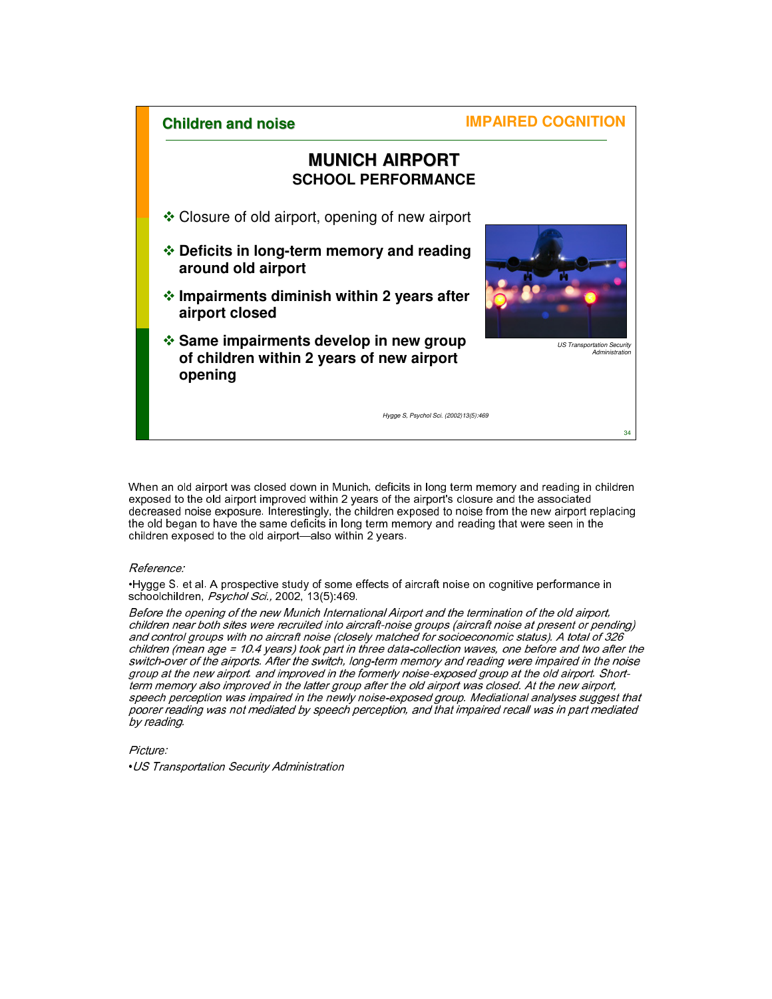### **MUNICH AIRPORT SCHOOL PERFORMANCE**

- Closure of old airport, opening of new airport
- **Deficits in long-term memory and reading around old airport**
- **Impairments diminish within 2 years after airport closed**
- **Same impairments develop in new group of children within 2 years of new airport opening**



US Transportation Security Administration

34

Hygge S, Psychol Sci. (2002)13(5):469

When an old airport was closed down in Munich, deficits in long term memory and reading in children exposed to the old airport improved within 2 years of the airport's closure and the associated decreased noise exposure. Interestingly, the children exposed to noise from the new airport replacing the old began to have the same deficits in long term memory and reading that were seen in the children exposed to the old airport—also within 2 years.

#### Reference:

•Hygge S. et al. A prospective study of some effects of aircraft noise on cognitive performance in schoolchildren, Psychol Sci., 2002, 13(5):469.

Before the opening of the new Munich International Airport and the termination of the old airport, children near both sites were recruited into aircraft-noise groups (aircraft noise at present or pending) and control groups with no aircraft noise (closely matched for socioeconomic status). A total of 326 children (mean age = 10.4 years) took part in three data-collection waves, one before and two after the switch-over of the airports. After the switch, long-term memory and reading were impaired in the noise group at the new airport. and improved in the formerly noise-exposed group at the old airport. Shortterm memory also improved in the latter group after the old airport was closed. At the new airport, speech perception was impaired in the newly noise-exposed group. Mediational analyses suggest that poorer reading was not mediated by speech perception, and that impaired recall was in part mediated by reading.

Picture: •US Transportation Security Administration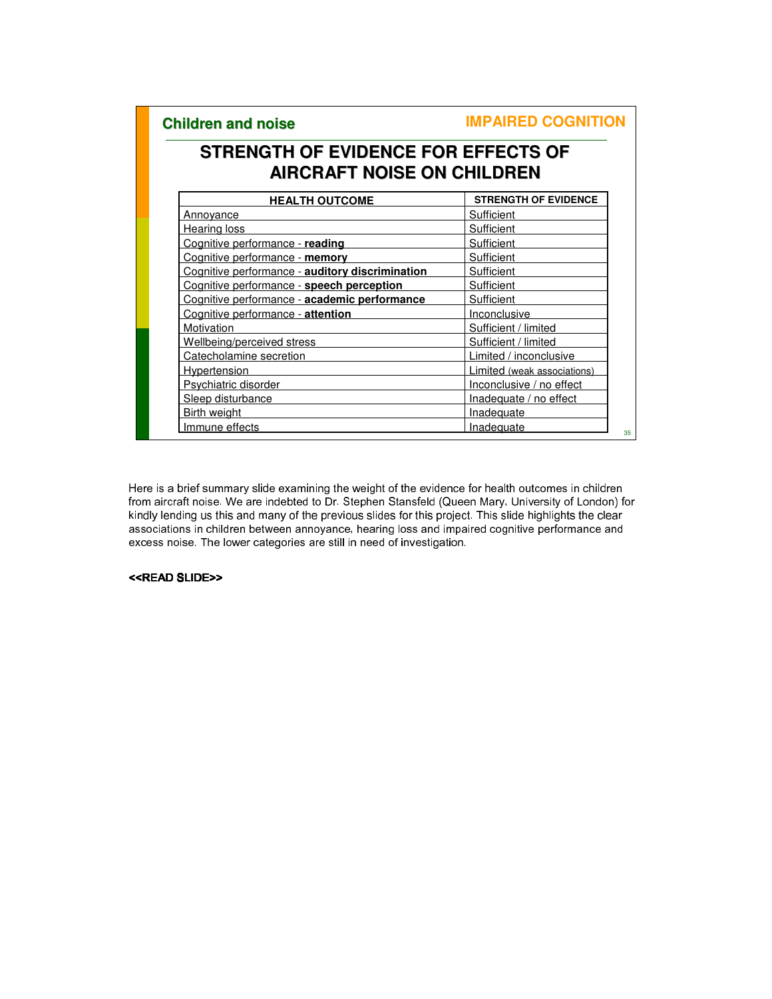35

# **STRENGTH OF EVIDENCE FOR EFFECTS OF AIRCRAFT NOISE ON CHILDREN**

| <b>HEALTH OUTCOME</b>                           | <b>STRENGTH OF EVIDENCE</b> |
|-------------------------------------------------|-----------------------------|
| <b>Annoyance</b>                                | Sufficient                  |
| Hearing loss                                    | Sufficient                  |
| Cognitive performance - reading                 | Sufficient                  |
| Cognitive performance - memory                  | Sufficient                  |
| Cognitive performance - auditory discrimination | Sufficient                  |
| Cognitive performance - speech perception       | Sufficient                  |
| Cognitive performance - academic performance    | Sufficient                  |
| Cognitive performance - attention               | Inconclusive                |
| Motivation                                      | Sufficient / limited        |
| Wellbeing/perceived stress                      | Sufficient / limited        |
| Catecholamine secretion                         | Limited / inconclusive      |
| Hypertension                                    | Limited (weak associations) |
| Psychiatric disorder                            | Inconclusive / no effect    |
| Sleep disturbance                               | Inadequate / no effect      |
| Birth weight                                    | Inadequate                  |
| Immune effects                                  | Inadequate                  |

Here is a brief summary slide examining the weight of the evidence for health outcomes in children from aircraft noise. We are indebted to Dr. Stephen Stansfeld (Queen Mary, University of London) for kindly lending us this and many of the previous slides for this project. This slide highlights the clear associations in children between annoyance, hearing loss and impaired cognitive performance and excess noise. The lower categories are still in need of investigation.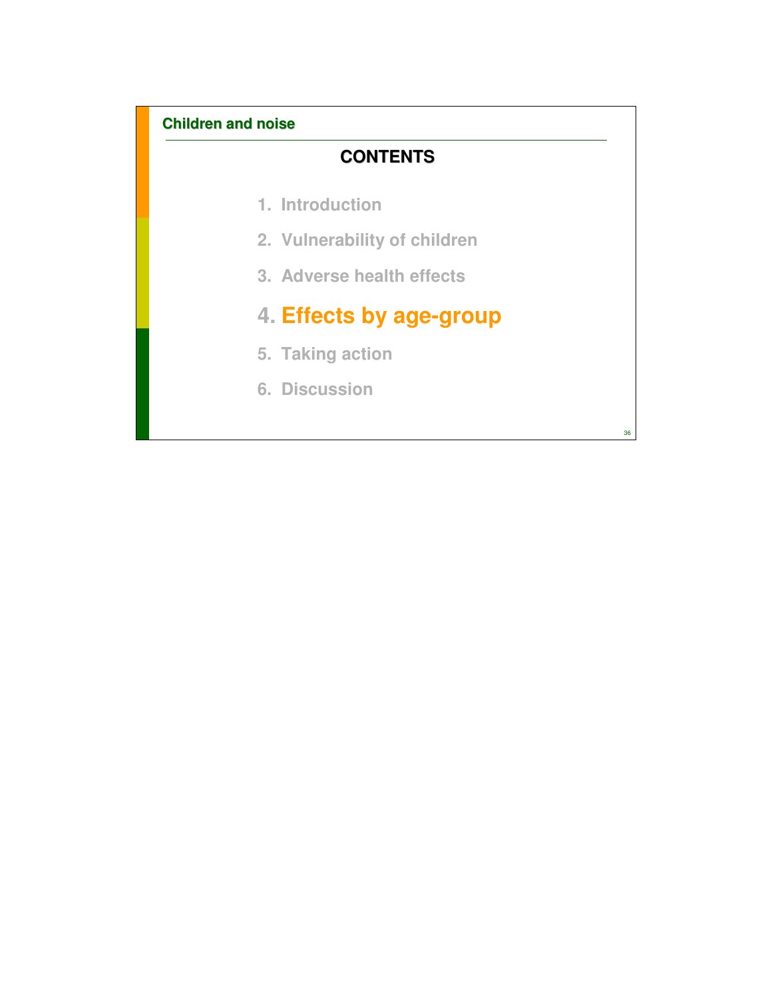# **CONTENTS**

- **1. Introduction**
- **2. Vulnerability of children**
- **3. Adverse health effects**

# **4. Effects by age-group**

- **5. Taking action**
- **6. Discussion**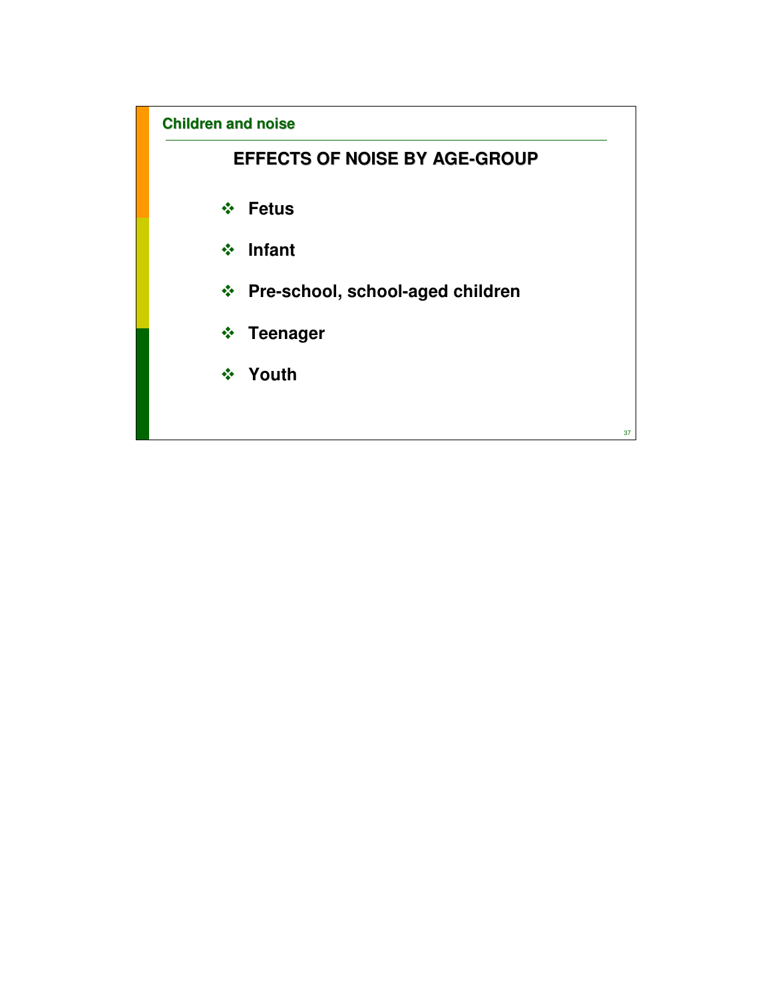# **EFFECTS OF NOISE BY AGE-GROUP**

- **Fetus**
- **Infant**
- **Pre-school, school-aged children**
- **Teenager**
- **Youth**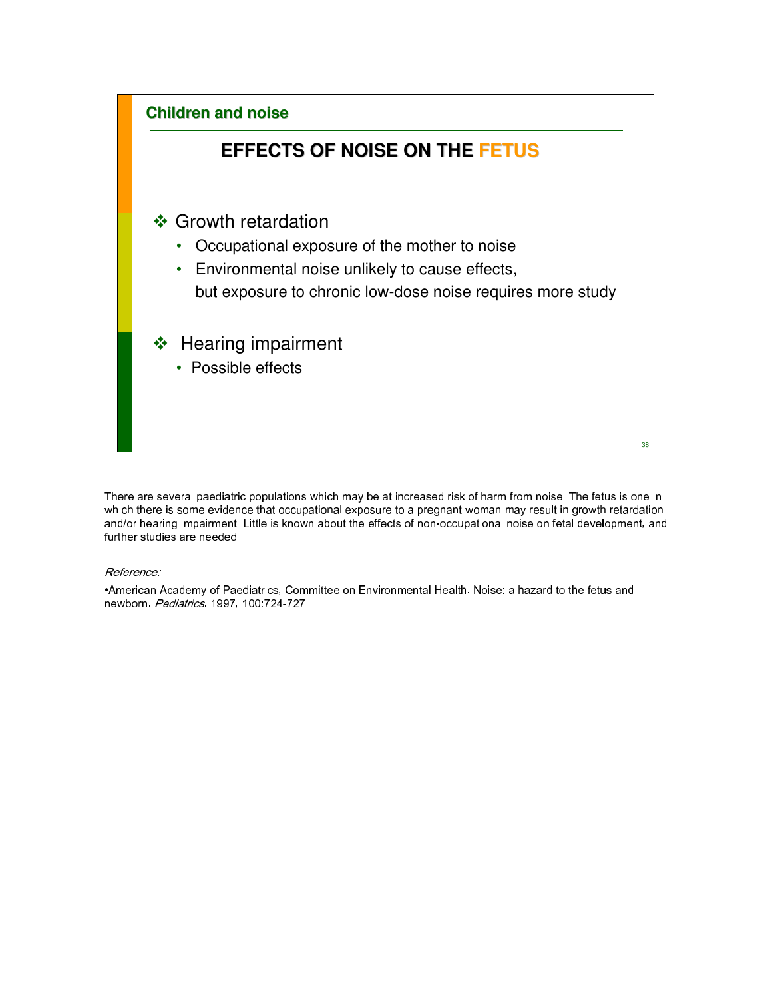

There are several paediatric populations which may be at increased risk of harm from noise. The fetus is one in which there is some evidence that occupational exposure to a pregnant woman may result in growth retardation and/or hearing impairment. Little is known about the effects of non-occupational noise on fetal development, and further studies are needed.

Reference:

•American Academy of Paediatrics, Committee on Environmental Health. Noise: a hazard to the fetus and newborn. Pediatrics. 1997, 100:724-727.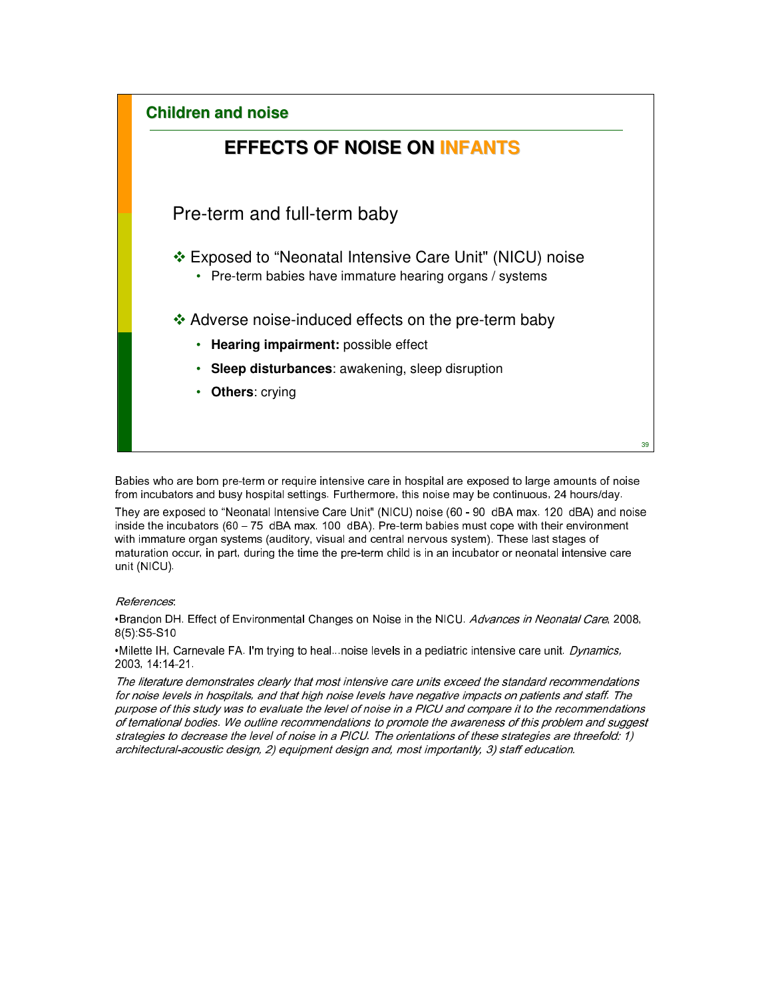

Babies who are born pre-term or require intensive care in hospital are exposed to large amounts of noise from incubators and busy hospital settings. Furthermore, this noise may be continuous, 24 hours/day. They are exposed to "Neonatal Intensive Care Unit" (NICU) noise (60 - 90 dBA max. 120 dBA) and noise inside the incubators (60 – 75 dBA max. 100 dBA). Pre-term babies must cope with their environment with immature organ systems (auditory, visual and central nervous system). These last stages of maturation occur, in part, during the time the pre-term child is in an incubator or neonatal intensive care unit (NICU).

#### References:

•Brandon DH. Effect of Environmental Changes on Noise in the NICU. Advances in Neonatal Care, 2008, 8(5):S5-S10

•Milette IH, Carnevale FA. I'm trying to heal...noise levels in a pediatric intensive care unit. Dynamics, 2003, 14:14-21.

The literature demonstrates clearly that most intensive care units exceed the standard recommendations for noise levels in hospitals, and that high noise levels have negative impacts on patients and staff. The purpose of this study was to evaluate the level of noise in a PICU and compare it to the recommendations of ternational bodies. We outline recommendations to promote the awareness of this problem and suggest strategies to decrease the level of noise in a PICU. The orientations of these strategies are threefold: 1) architectural-acoustic design, 2) equipment design and, most importantly, 3) staff education.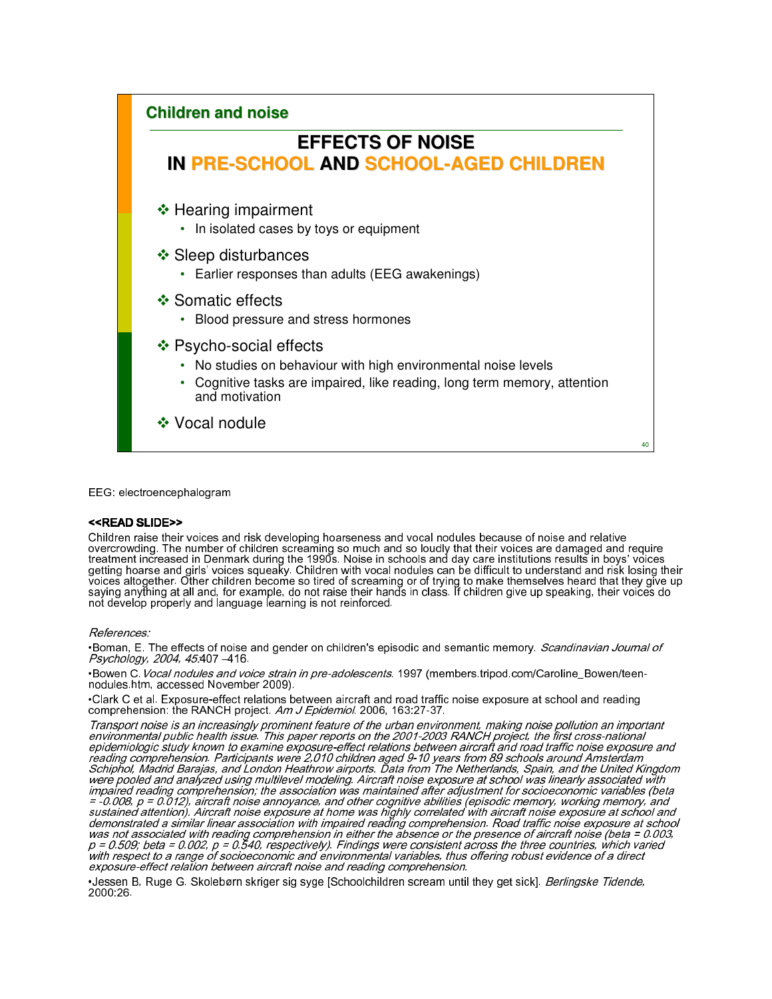

EEG: electroencephalogram

#### <<READ SLIDE>>

Children raise their voices and risk developing hoarseness and vocal nodules because of noise and relative overcrowding. The number of children screaming so much and so loudly that their voices are damaged and require treatment increased in Denmark during the 1990s. Noise in schools and day care institutions results in boys' voices getting hoarse and girls' voices squeaky. Children with vocal nodules can be difficult to understand and risk losing their voices altogether. Other children become so tired of screaming or of trying to make themselves heard that they give up saying anything at all and, for example, do not raise their hands in class. If children give up speaking, their voices do not develop properly and language learning is not reinforced.

#### References:

•Boman, E. The effects of noise and gender on children's episodic and semantic memory. *Scandinavian Journal of* Psychology, 2004, 45:407 –416.

•Bowen C.Vocal nodules and voice strain in pre-adolescents. 1997 (members.tripod.com/Caroline\_Bowen/teennodules.htm, accessed November 2009).

•Clark C et al. Exposure-effect relations between aircraft and road traffic noise exposure at school and reading comprehension: the RANCH project. Am J Epidemiol. 2006, 163:27-37.

Transport noise is an increasingly prominent feature of the urban environment, making noise pollution an important environmental public health issue. This paper reports on the 2001-2003 RANCH project, the first cross-national epidemiologic study known to examine exposure-effect relations between aircraft and road traffic noise exposure and reading comprehension. Participants were 2,010 children aged 9-10 years from 89 schools around Amsterdam Schiphol, Madrid Barajas, and London Heathrow airports. Data from The Netherlands, Spain, and the United Kingdom were pooled and analyzed using multilevel modeling. Aircraft noise exposure at school was linearly associated with impaired reading comprehension; the association was maintained after adjustment for socioeconomic variables (beta  $=$  -0.008, p = 0.012), aircraft noise annoyance, and other cognitive abilities (episodic memory, working memory, and sustained attention). Aircraft noise exposure at home was highly correlated with aircraft noise exposure at school and demonstrated a similar linear association with impaired reading comprehension. Road traffic noise exposure at school was not associated with reading comprehension in either the absence or the presence of aircraft noise (beta  $= 0.003$ ,  $p = 0.509$ ; beta = 0.002, p = 0.540, respectively). Findings were consistent across the three countries, which varied with respect to a range of socioeconomic and environmental variables, thus offering robust evidence of a direct with respect to a range of socioeconomic and environmental variables, thus offering robust evidence of a direct<br>exposure-effect relation between aircraft noise and reading comprehension.

•Jessen B, Ruge G. Skolebørn skriger sig syge [Schoolchildren scream until they get sick]. Berlingske Tidende, 2000:26.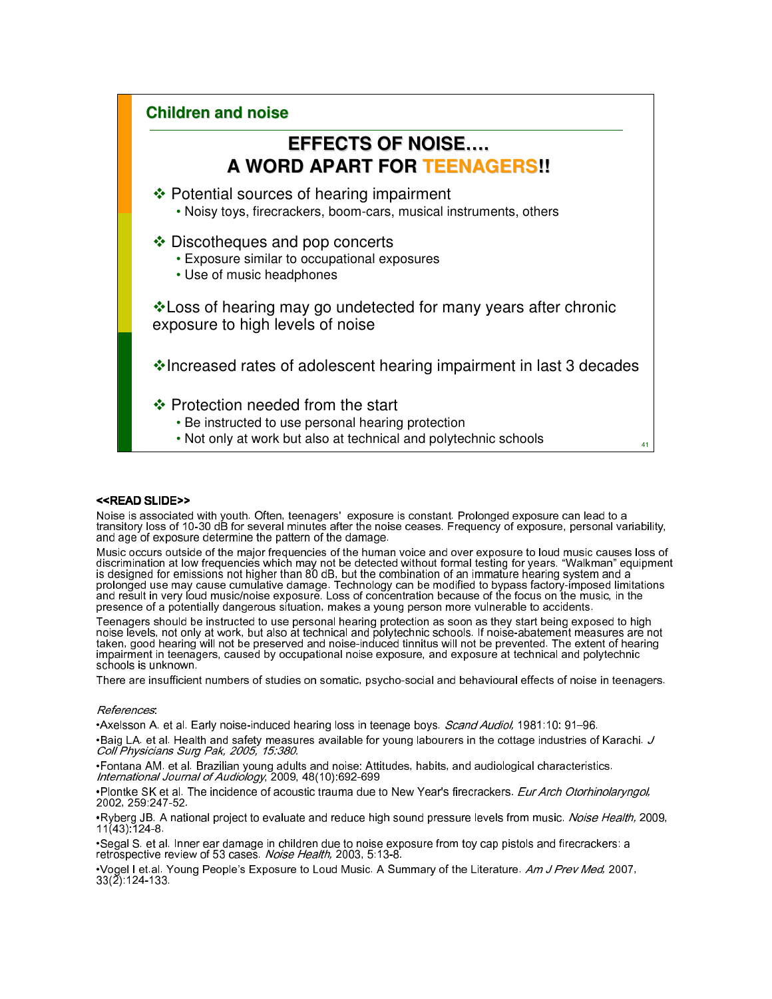

#### <<READ SLIDE>>

Noise is associated with youth. Often, teenagers' exposure is constant. Prolonged exposure can lead to a transitory loss of 10-30 dB for several minutes after the noise ceases. Frequency of exposure, personal variability, and age of exposure determine the pattern of the damage.

Music occurs outside of the major frequencies of the human voice and over exposure to loud music causes loss of discrimination at low frequencies which may not be detected without formal testing for years. "Walkman" equipment is designed for emissions not higher than 80 dB, but the combination of an immature hearing system and a prolonged use may cause cumulative damage. Technology can be modified to bypass factory-imposed limitations and result in very loud music/noise exposure. Loss of concentration because of the focus on the music, in the presence of a potentially dangerous situation, makes a young person more vulnerable to accidents.

Teenagers should be instructed to use personal hearing protection as soon as they start being exposed to high noise levels, not only at work, but also at technical and polytechnic schools. If noise-abatement measures are not taken, good hearing will not be preserved and noise-induced tinnitus will not be prevented. The extent of hearing impairment in teenagers, caused by occupational noise exposure, and exposure at technical and polytechnic schools is unknown.

There are insufficient numbers of studies on somatic, psycho-social and behavioural effects of noise in teenagers.

#### References:

•Axelsson A. et al. Early noise-induced hearing loss in teenage boys. *Scand Audiol*, 1981:10: 91–96. •Baig LA. et al. Health and safety measures available for young labourers in the cottage industries of Karachi. J Coll Physicians Surg Pak, 2005, 15:380.

•Fontana AM. et al. Brazilian young adults and noise: Attitudes, habits, and audiological characteristics. International Journal of Audiology, 2009, 48(10):692-699

•Plontke SK et al. The incidence of acoustic trauma due to New Year's firecrackers. Eur Arch Otorhinolaryngol, 2002, 259:247-52.

•Ryberg JB. A national project to evaluate and reduce high sound pressure levels from music. *Noise Health*, 2009,  $11(43)$ :124-8.

•Segal S. et al. Inner ear damage in children due to noise exposure from toy cap pistols and firecrackers: a retrospective review of 53 cases. Noise Health, 2003, 5:13-8.

•Vogel I et.al. Young People's Exposure to Loud Music. A Summary of the Literature. Am J Prev Med, 2007, 33(2):124-133.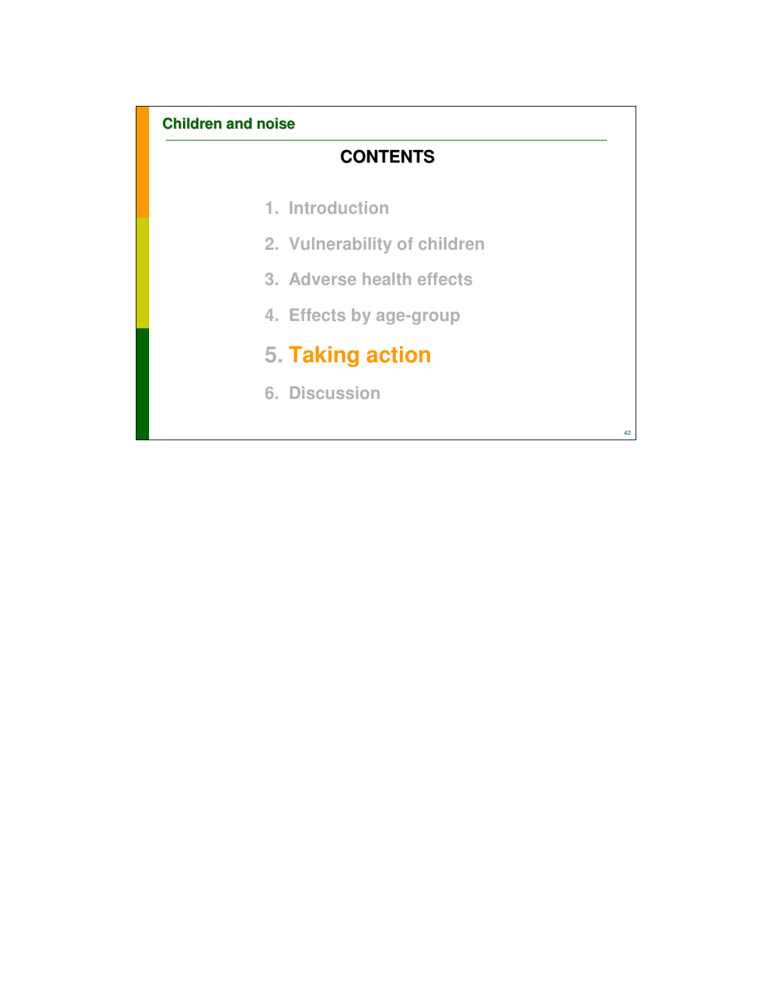# **CONTENTS**

- **1. Introduction**
- **2. Vulnerability of children**
- **3. Adverse health effects**
- **4. Effects by age-group**

# **5. Taking action**

**6. Discussion**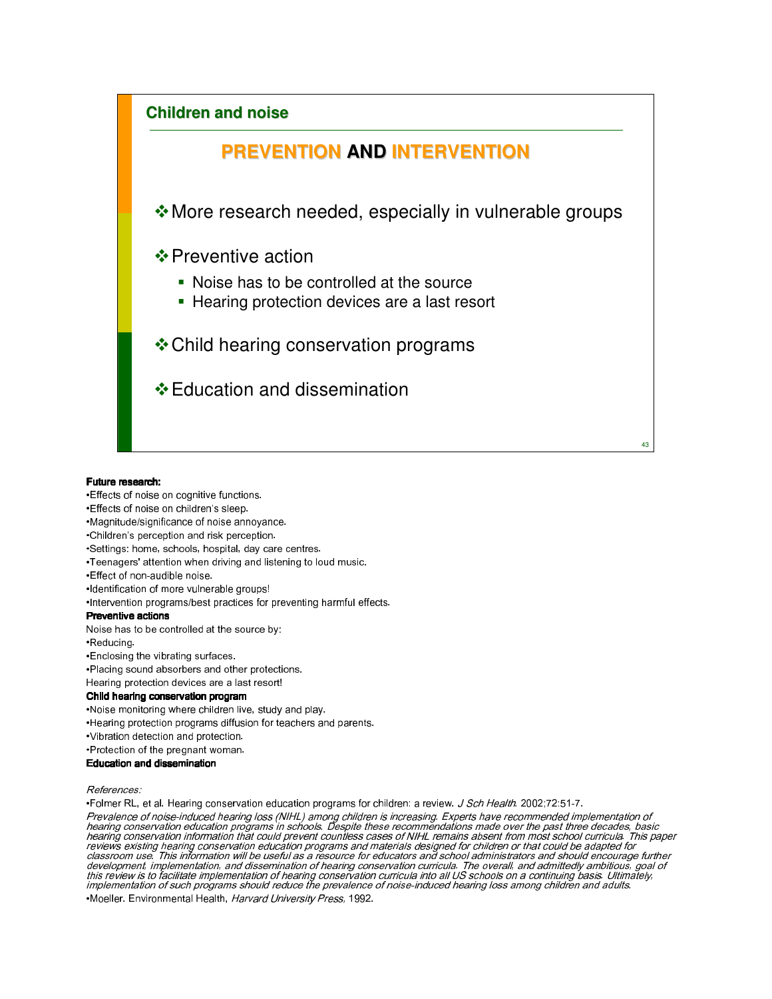

#### Future research:

- •Effects of noise on cognitive functions.
- •Effects of noise on children's sleep.
- •Magnitude/significance of noise annoyance.
- •Children's perception and risk perception.
- •Settings: home, schools, hospital, day care centres.
- •Teenagers' attention when driving and listening to loud music.
- •Effect of non-audible noise.
- •Identification of more vulnerable groups!
- •Intervention programs/best practices for preventing harmful effects.

#### Preventive actions

Noise has to be controlled at the source by:

•Reducing.

- •Enclosing the vibrating surfaces.
- •Placing sound absorbers and other protections.
- Hearing protection devices are a last resort!

#### Child hearing conservation program

- •Noise monitoring where children live, study and play.
- •Hearing protection programs diffusion for teachers and parents.
- •Vibration detection and protection.
- •Protection of the pregnant woman.

#### Education and dissemination

References:

•Folmer RL, et al. Hearing conservation education programs for children: a review. J Sch Health. 2002;72:51-7.

Prevalence of noise-induced hearing loss (NIHL) among children is increasing. Experts have recommended implementation of<br>hearing conservation education programs in schools. Despite these recommendations made over the past development, implementation, and dissemination of hearing conservation curricula. The overall, and admittedly ambitious, goal of<br>this review is to facilitate implementation of hearing conservation curricula The overall, an •Moeller. Environmental Health, Harvard University Press, 1992.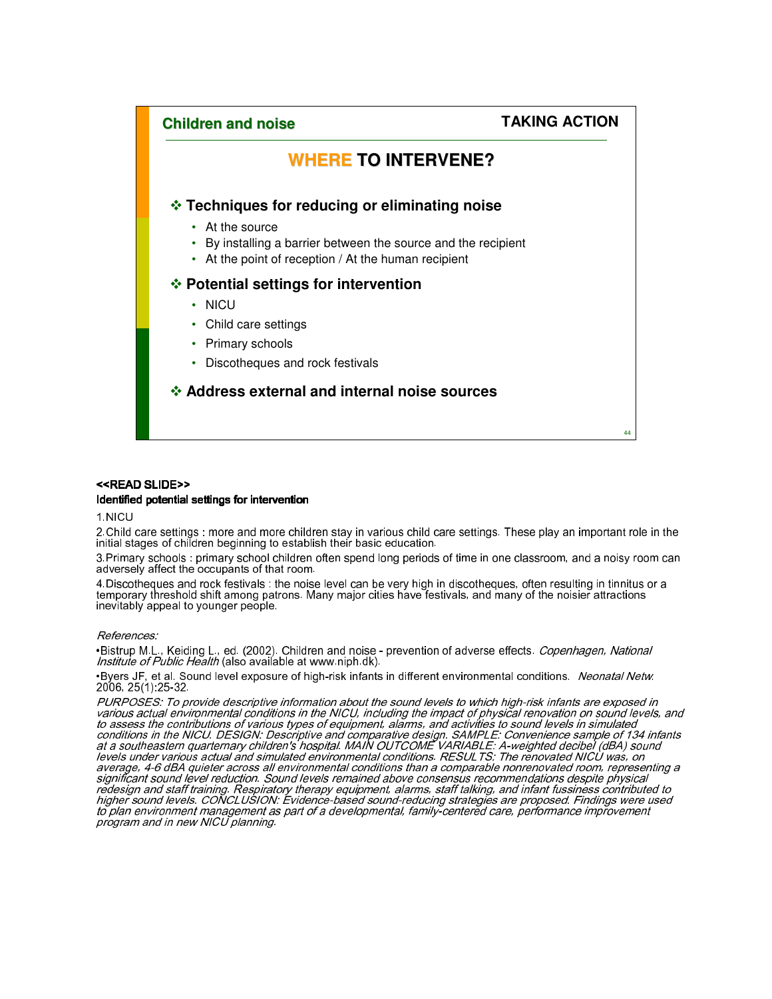

#### <<READ SLIDE>>

#### Identified potential settings for intervention

1.NICU

2.Child care settings : more and more children stay in various child care settings. These play an important role in the initial stages of children beginning to establish their basic education.

3.Primary schools : primary school children often spend long periods of time in one classroom, and a noisy room can adversely affect the occupants of that room.

4.Discotheques and rock festivals : the noise level can be very high in discotheques, often resulting in tinnitus or a temporary threshold shift among patrons. Many major cities have festivals, and many of the noisier attractions inevitably appeal to younger people.

#### References:

•Bistrup M.L., Keiding L., ed. (2002). Children and noise - prevention of adverse effects. *Copenhagen, National* Institute of Public Health (also available at www.niph.dk).

•Byers JF, et al. Sound level exposure of high-risk infants in different environmental conditions. Neonatal Netw. 2006, 25(1):25-32.

PURPOSES: To provide descriptive information about the sound levels to which high-risk infants are exposed in various actual environmental conditions in the NICU, including the impact of physical renovation on sound levels, and to assess the contributions of various types of equipment, alarms, and activities to sound levels in simulated conditions in the NICU. DESIGN: Descriptive and comparative design. SAMPLE: Convenience sample of 134 infants at a southeastern quarternary children's hospital. MAIN OUTCOME VARIABLE: A-weighted decibel (dBA) sound levels under various actual and simulated environmental conditions. RESULTS: The renovated NICU was, on average, 4-6 dBA quieter across all environmental conditions than a comparable nonrenovated room, representing a significant sound level reduction. Sound levels remained above consensus recommendations despite physical redesign and staff training. Respiratory therapy equipment, alarms, staff talking, and infant fussiness contributed to higher sound levels. CONCLUSION: Evidence-based sound-reducing strategies are proposed. Findings were used to plan environment management as part of a developmental, family-centered care, performance improvement program and in new NICU planning.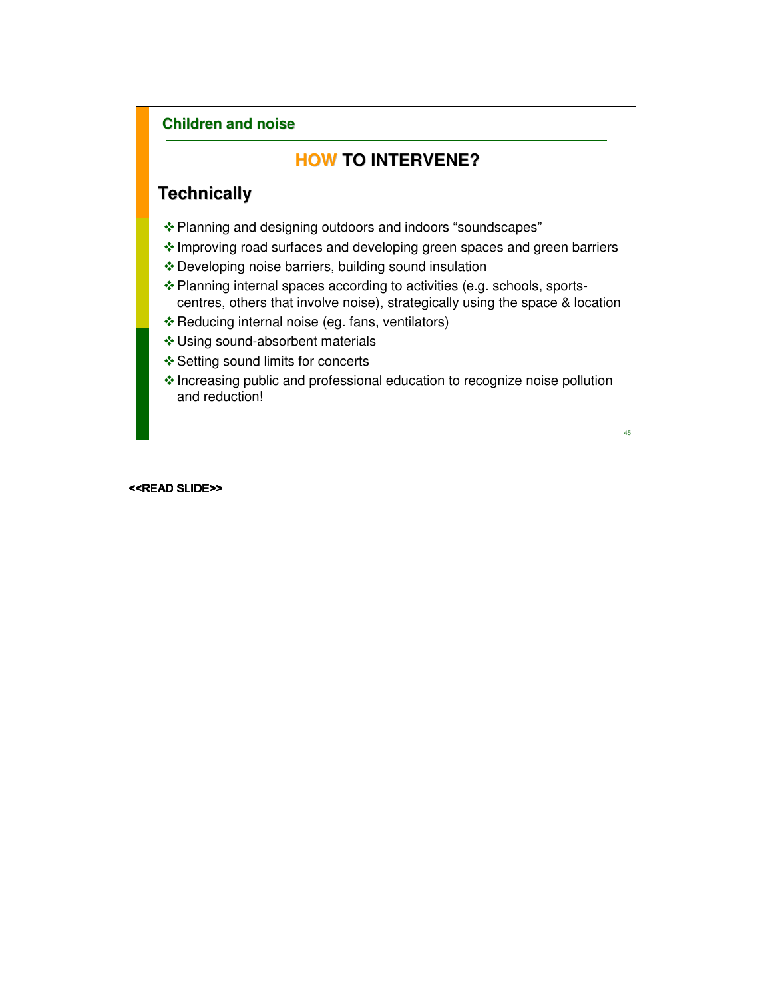# **HOW TO INTERVENE?**

# **Technically**

- Planning and designing outdoors and indoors "soundscapes"
- Improving road surfaces and developing green spaces and green barriers
- Developing noise barriers, building sound insulation
- Planning internal spaces according to activities (e.g. schools, sportscentres, others that involve noise), strategically using the space & location
- \* Reducing internal noise (eg. fans, ventilators)
- Using sound-absorbent materials
- ❖ Setting sound limits for concerts
- Increasing public and professional education to recognize noise pollution and reduction!

45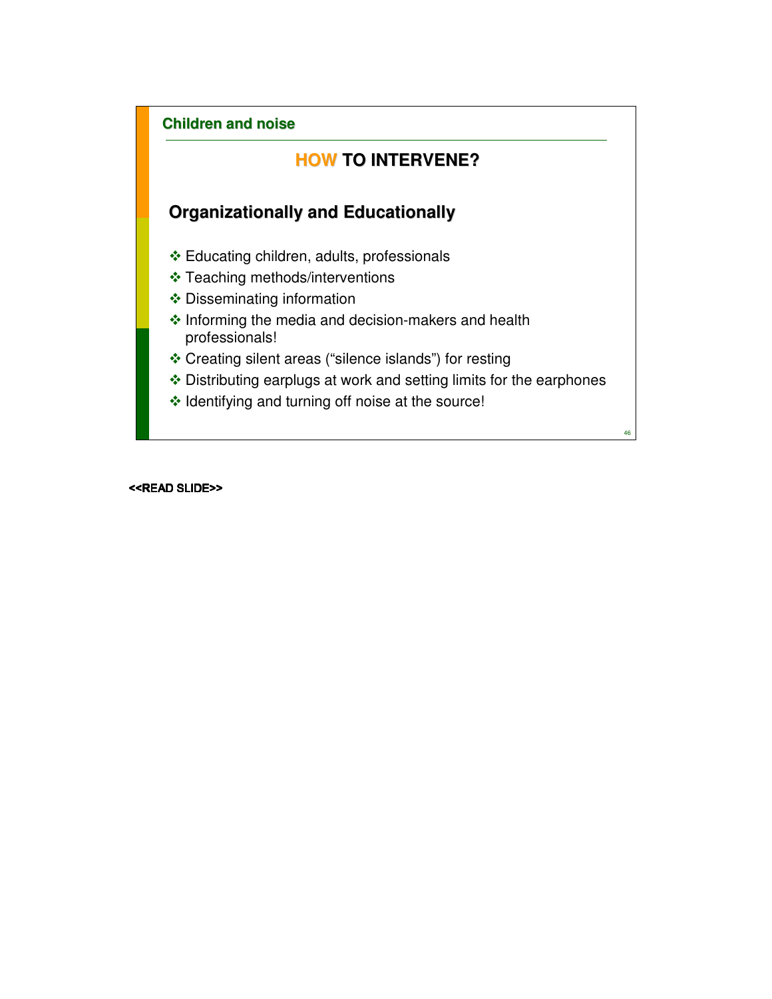# **HOW TO INTERVENE?**

# **Organizationally and Educationally**

- Educating children, adults, professionals
- Teaching methods/interventions
- ◆ Disseminating information
- $\triangleq$  Informing the media and decision-makers and health professionals!
- Creating silent areas ("silence islands") for resting
- Distributing earplugs at work and setting limits for the earphones
- $\cdot$  Identifying and turning off noise at the source!

46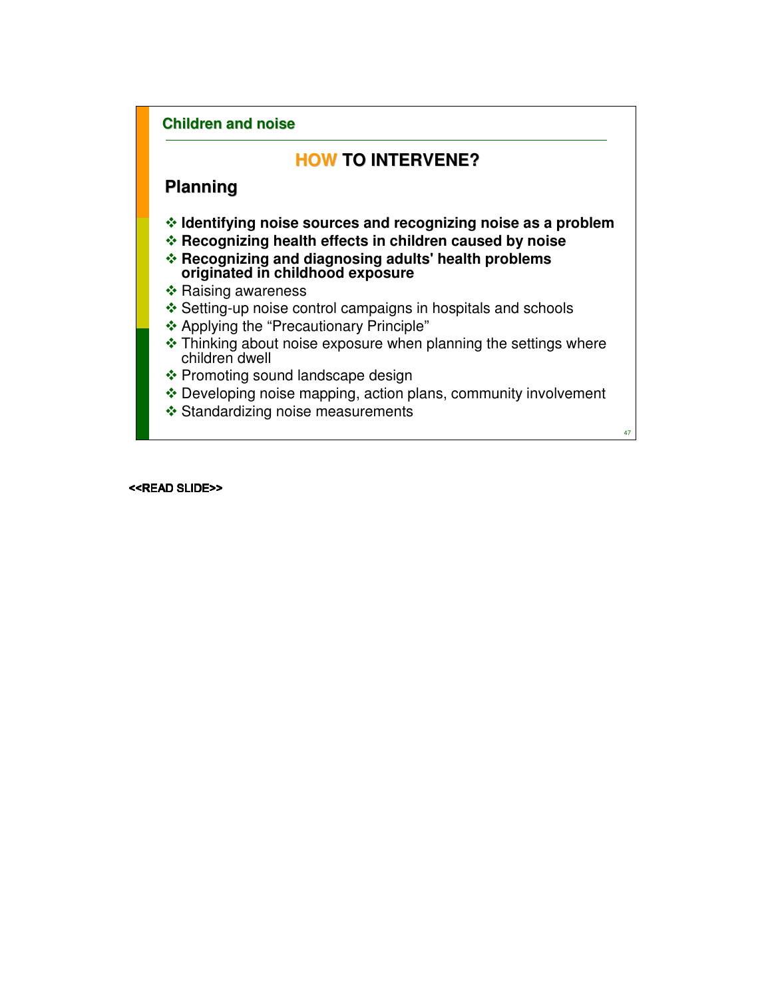# **HOW TO INTERVENE?**

# **Planning**

- **Identifying noise sources and recognizing noise as a problem**
- **Recognizing health effects in children caused by noise**
- **Recognizing and diagnosing adults' health problems originated in childhood exposure**
- \* Raising awareness
- Setting-up noise control campaigns in hospitals and schools
- Applying the "Precautionary Principle"
- $\cdot$  Thinking about noise exposure when planning the settings where children dwell
- ❖ Promoting sound landscape design
- Developing noise mapping, action plans, community involvement
- ❖ Standardizing noise measurements

47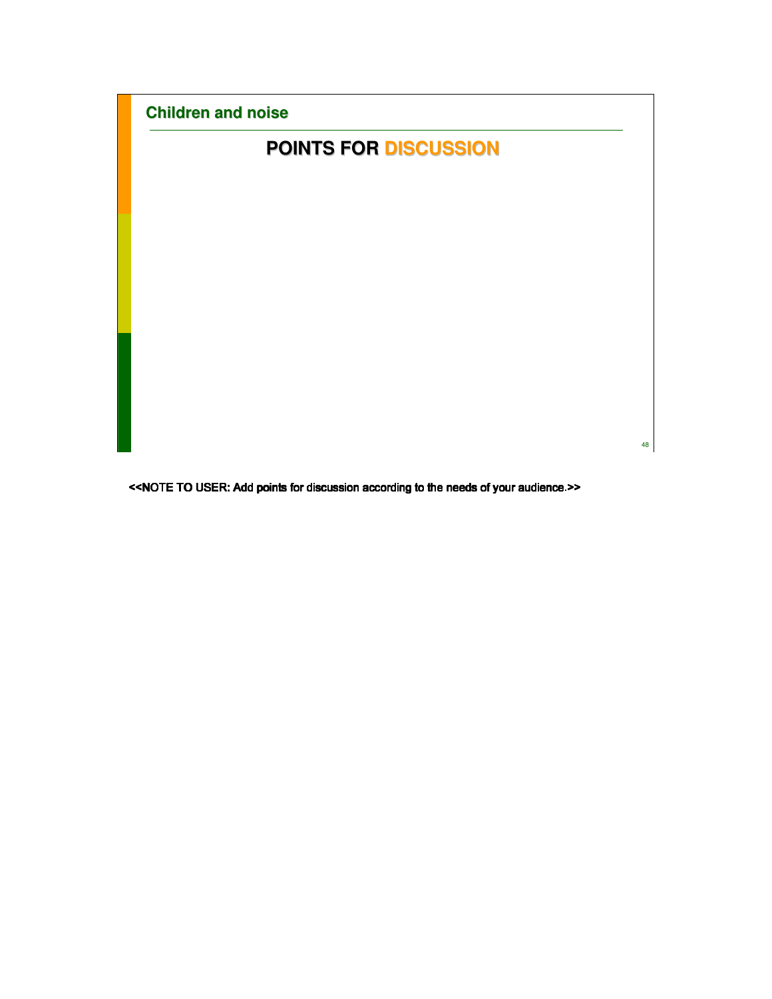| <b>Children and noise</b>    |    |
|------------------------------|----|
| <b>POINTS FOR DISCUSSION</b> |    |
|                              |    |
|                              |    |
|                              |    |
|                              |    |
|                              |    |
|                              |    |
|                              |    |
|                              |    |
|                              | 48 |

<<NOTE TO USER: Add points for discussion according to the needs of your audience.>> he needs of your audience.>>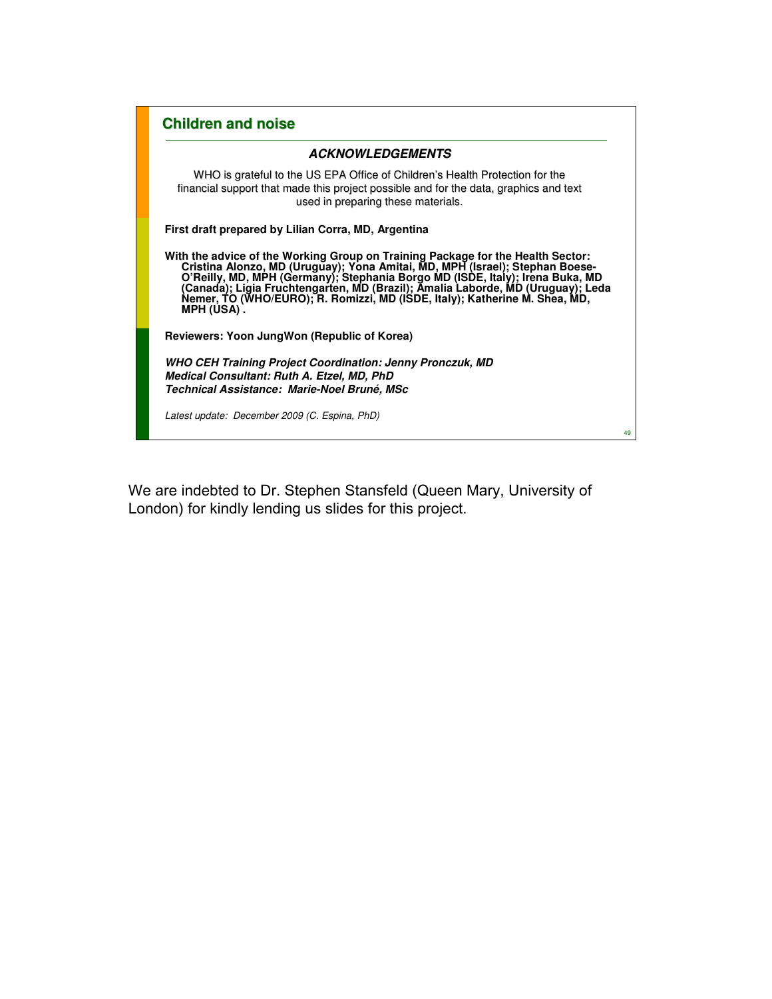| <b>Children and noise</b>                                                                                                                                                                                                                                                                                                                                                                                                    |    |
|------------------------------------------------------------------------------------------------------------------------------------------------------------------------------------------------------------------------------------------------------------------------------------------------------------------------------------------------------------------------------------------------------------------------------|----|
| <b>ACKNOWLEDGEMENTS</b>                                                                                                                                                                                                                                                                                                                                                                                                      |    |
| WHO is grateful to the US EPA Office of Children's Health Protection for the<br>financial support that made this project possible and for the data, graphics and text<br>used in preparing these materials.                                                                                                                                                                                                                  |    |
| First draft prepared by Lilian Corra, MD, Argentina                                                                                                                                                                                                                                                                                                                                                                          |    |
| With the advice of the Working Group on Training Package for the Health Sector:<br>Cristina Alonzo, MD (Uruguay); Yona Amitai, MD, MPH (Israel); Stephan Boese-<br>O'Reilly, MD, MPH (Germany); Stephania Borgo MD (ISDE, Italy); Irena Buka, MD<br>(Canada); Ligia Fruchtengarten, MD (Brazil); Amalia Laborde, MD (Uruguay); Leda<br>Nemer, TO (WHO/EURO); R. Romizzi, MD (ISDE, Italy); Katherine M.<br><b>MPH (USA).</b> |    |
| Reviewers: Yoon JungWon (Republic of Korea)                                                                                                                                                                                                                                                                                                                                                                                  |    |
| <b>WHO CEH Training Project Coordination: Jenny Pronczuk, MD</b><br>Medical Consultant: Ruth A. Etzel, MD, PhD<br>Technical Assistance: Marie-Noel Bruné, MSc                                                                                                                                                                                                                                                                |    |
| Latest update: December 2009 (C. Espina, PhD)                                                                                                                                                                                                                                                                                                                                                                                | 49 |

We are indebted to Dr. Stephen Stansfeld (Queen Mary, University of London) for kindly lending us slides for this project.